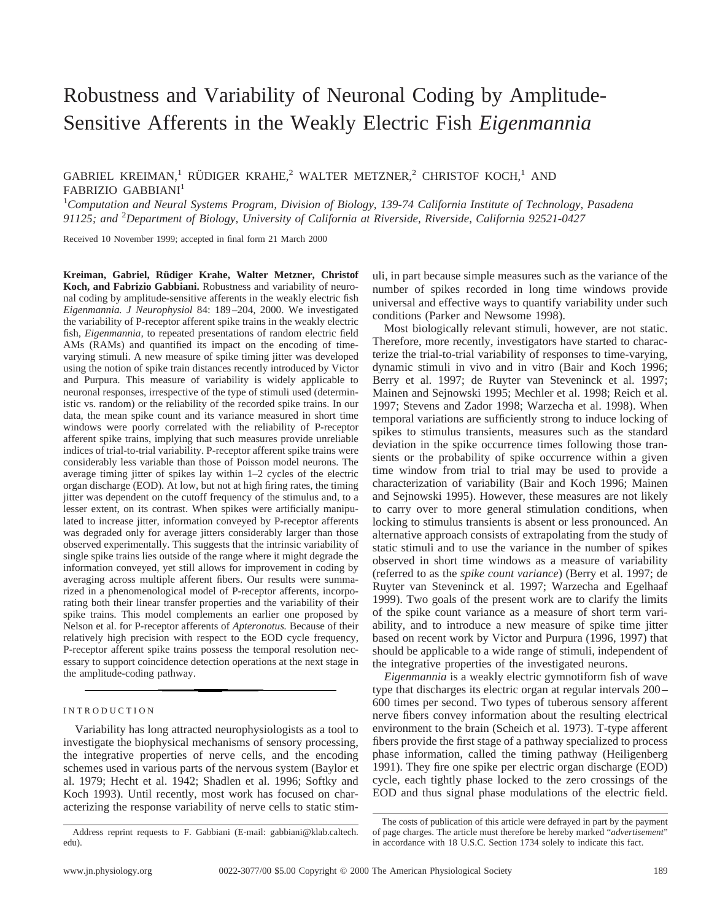# Robustness and Variability of Neuronal Coding by Amplitude-Sensitive Afferents in the Weakly Electric Fish *Eigenmannia*

GABRIEL KREIMAN,<sup>1</sup> RÜDIGER KRAHE,<sup>2</sup> WALTER METZNER,<sup>2</sup> CHRISTOF KOCH,<sup>1</sup> AND FABRIZIO GABBIANI<sup>1</sup>

1 *Computation and Neural Systems Program, Division of Biology, 139-74 California Institute of Technology, Pasadena 91125; and* <sup>2</sup> *Department of Biology, University of California at Riverside, Riverside, California 92521-0427*

Received 10 November 1999; accepted in final form 21 March 2000

Kreiman, Gabriel, Rüdiger Krahe, Walter Metzner, Christof **Koch, and Fabrizio Gabbiani.** Robustness and variability of neuronal coding by amplitude-sensitive afferents in the weakly electric fish *Eigenmannia. J Neurophysiol* 84: 189–204, 2000. We investigated the variability of P-receptor afferent spike trains in the weakly electric fish, *Eigenmannia,* to repeated presentations of random electric field AMs (RAMs) and quantified its impact on the encoding of timevarying stimuli. A new measure of spike timing jitter was developed using the notion of spike train distances recently introduced by Victor and Purpura. This measure of variability is widely applicable to neuronal responses, irrespective of the type of stimuli used (deterministic vs. random) or the reliability of the recorded spike trains. In our data, the mean spike count and its variance measured in short time windows were poorly correlated with the reliability of P-receptor afferent spike trains, implying that such measures provide unreliable indices of trial-to-trial variability. P-receptor afferent spike trains were considerably less variable than those of Poisson model neurons. The average timing jitter of spikes lay within 1–2 cycles of the electric organ discharge (EOD). At low, but not at high firing rates, the timing jitter was dependent on the cutoff frequency of the stimulus and, to a lesser extent, on its contrast. When spikes were artificially manipulated to increase jitter, information conveyed by P-receptor afferents was degraded only for average jitters considerably larger than those observed experimentally. This suggests that the intrinsic variability of single spike trains lies outside of the range where it might degrade the information conveyed, yet still allows for improvement in coding by averaging across multiple afferent fibers. Our results were summarized in a phenomenological model of P-receptor afferents, incorporating both their linear transfer properties and the variability of their spike trains. This model complements an earlier one proposed by Nelson et al. for P-receptor afferents of *Apteronotus.* Because of their relatively high precision with respect to the EOD cycle frequency, P-receptor afferent spike trains possess the temporal resolution necessary to support coincidence detection operations at the next stage in the amplitude-coding pathway.

# INTRODUCTION

Variability has long attracted neurophysiologists as a tool to investigate the biophysical mechanisms of sensory processing, the integrative properties of nerve cells, and the encoding schemes used in various parts of the nervous system (Baylor et al. 1979; Hecht et al. 1942; Shadlen et al. 1996; Softky and Koch 1993). Until recently, most work has focused on characterizing the response variability of nerve cells to static stimuli, in part because simple measures such as the variance of the number of spikes recorded in long time windows provide universal and effective ways to quantify variability under such conditions (Parker and Newsome 1998).

Most biologically relevant stimuli, however, are not static. Therefore, more recently, investigators have started to characterize the trial-to-trial variability of responses to time-varying, dynamic stimuli in vivo and in vitro (Bair and Koch 1996; Berry et al. 1997; de Ruyter van Steveninck et al. 1997; Mainen and Sejnowski 1995; Mechler et al. 1998; Reich et al. 1997; Stevens and Zador 1998; Warzecha et al. 1998). When temporal variations are sufficiently strong to induce locking of spikes to stimulus transients, measures such as the standard deviation in the spike occurrence times following those transients or the probability of spike occurrence within a given time window from trial to trial may be used to provide a characterization of variability (Bair and Koch 1996; Mainen and Sejnowski 1995). However, these measures are not likely to carry over to more general stimulation conditions, when locking to stimulus transients is absent or less pronounced. An alternative approach consists of extrapolating from the study of static stimuli and to use the variance in the number of spikes observed in short time windows as a measure of variability (referred to as the *spike count variance*) (Berry et al. 1997; de Ruyter van Steveninck et al. 1997; Warzecha and Egelhaaf 1999). Two goals of the present work are to clarify the limits of the spike count variance as a measure of short term variability, and to introduce a new measure of spike time jitter based on recent work by Victor and Purpura (1996, 1997) that should be applicable to a wide range of stimuli, independent of the integrative properties of the investigated neurons.

*Eigenmannia* is a weakly electric gymnotiform fish of wave type that discharges its electric organ at regular intervals 200– 600 times per second. Two types of tuberous sensory afferent nerve fibers convey information about the resulting electrical environment to the brain (Scheich et al. 1973). T-type afferent fibers provide the first stage of a pathway specialized to process phase information, called the timing pathway (Heiligenberg 1991). They fire one spike per electric organ discharge (EOD) cycle, each tightly phase locked to the zero crossings of the EOD and thus signal phase modulations of the electric field.

Address reprint requests to F. Gabbiani (E-mail: gabbiani@klab.caltech. edu).

The costs of publication of this article were defrayed in part by the payment of page charges. The article must therefore be hereby marked "*advertisement*" in accordance with 18 U.S.C. Section 1734 solely to indicate this fact.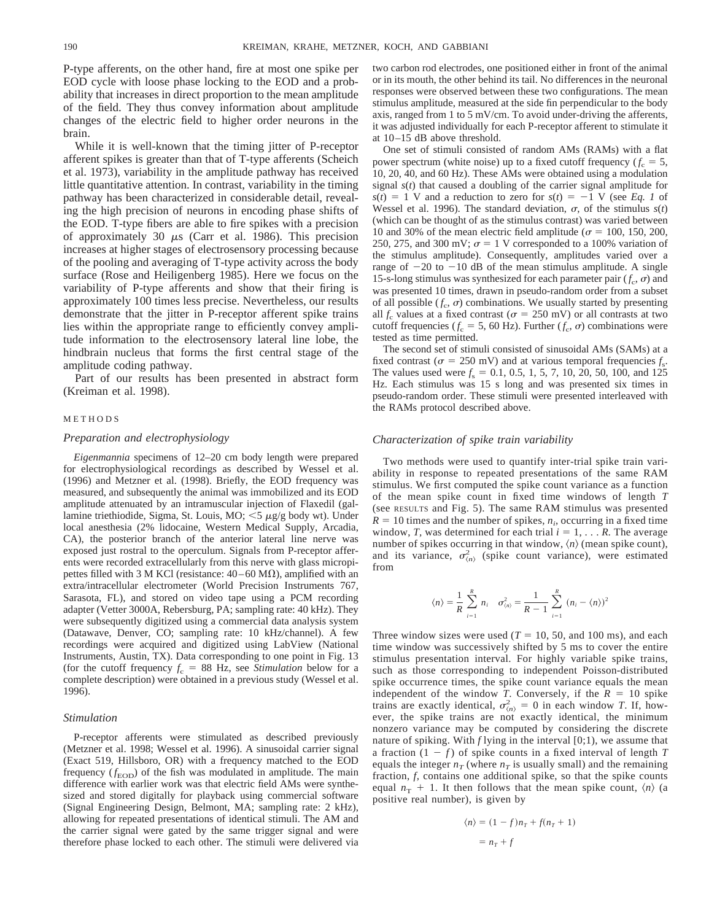P-type afferents, on the other hand, fire at most one spike per EOD cycle with loose phase locking to the EOD and a probability that increases in direct proportion to the mean amplitude of the field. They thus convey information about amplitude changes of the electric field to higher order neurons in the brain.

While it is well-known that the timing jitter of P-receptor afferent spikes is greater than that of T-type afferents (Scheich et al. 1973), variability in the amplitude pathway has received little quantitative attention. In contrast, variability in the timing pathway has been characterized in considerable detail, revealing the high precision of neurons in encoding phase shifts of the EOD. T-type fibers are able to fire spikes with a precision of approximately 30  $\mu$ s (Carr et al. 1986). This precision increases at higher stages of electrosensory processing because of the pooling and averaging of T-type activity across the body surface (Rose and Heiligenberg 1985). Here we focus on the variability of P-type afferents and show that their firing is approximately 100 times less precise. Nevertheless, our results demonstrate that the jitter in P-receptor afferent spike trains lies within the appropriate range to efficiently convey amplitude information to the electrosensory lateral line lobe, the hindbrain nucleus that forms the first central stage of the amplitude coding pathway.

Part of our results has been presented in abstract form (Kreiman et al. 1998).

#### METHODS

## *Preparation and electrophysiology*

*Eigenmannia* specimens of 12–20 cm body length were prepared for electrophysiological recordings as described by Wessel et al. (1996) and Metzner et al. (1998). Briefly, the EOD frequency was measured, and subsequently the animal was immobilized and its EOD amplitude attenuated by an intramuscular injection of Flaxedil (gallamine triethiodide, Sigma, St. Louis, MO;  $\lt$ 5  $\mu$ g/g body wt). Under local anesthesia (2% lidocaine, Western Medical Supply, Arcadia, CA), the posterior branch of the anterior lateral line nerve was exposed just rostral to the operculum. Signals from P-receptor afferents were recorded extracellularly from this nerve with glass micropipettes filled with 3 M KCl (resistance:  $40-60$  M $\Omega$ ), amplified with an extra/intracellular electrometer (World Precision Instruments 767, Sarasota, FL), and stored on video tape using a PCM recording adapter (Vetter 3000A, Rebersburg, PA; sampling rate: 40 kHz). They were subsequently digitized using a commercial data analysis system (Datawave, Denver, CO; sampling rate: 10 kHz/channel). A few recordings were acquired and digitized using LabView (National Instruments, Austin, TX). Data corresponding to one point in Fig. 13 (for the cutoff frequency  $f_c = 88$  Hz, see *Stimulation* below for a complete description) were obtained in a previous study (Wessel et al. 1996).

### *Stimulation*

P-receptor afferents were stimulated as described previously (Metzner et al. 1998; Wessel et al. 1996). A sinusoidal carrier signal (Exact 519, Hillsboro, OR) with a frequency matched to the EOD frequency  $(f_{\text{EOD}})$  of the fish was modulated in amplitude. The main difference with earlier work was that electric field AMs were synthesized and stored digitally for playback using commercial software (Signal Engineering Design, Belmont, MA; sampling rate: 2 kHz), allowing for repeated presentations of identical stimuli. The AM and the carrier signal were gated by the same trigger signal and were therefore phase locked to each other. The stimuli were delivered via

two carbon rod electrodes, one positioned either in front of the animal or in its mouth, the other behind its tail. No differences in the neuronal responses were observed between these two configurations. The mean stimulus amplitude, measured at the side fin perpendicular to the body axis, ranged from 1 to 5 mV/cm. To avoid under-driving the afferents, it was adjusted individually for each P-receptor afferent to stimulate it at 10–15 dB above threshold.

One set of stimuli consisted of random AMs (RAMs) with a flat power spectrum (white noise) up to a fixed cutoff frequency  $(f_c = 5,$ 10, 20, 40, and 60 Hz). These AMs were obtained using a modulation signal *s*(*t*) that caused a doubling of the carrier signal amplitude for  $s(t) = 1$  V and a reduction to zero for  $s(t) = -1$  V (see *Eq. 1* of Wessel et al. 1996). The standard deviation,  $\sigma$ , of the stimulus  $s(t)$ (which can be thought of as the stimulus contrast) was varied between 10 and 30% of the mean electric field amplitude ( $\sigma$  = 100, 150, 200, 250, 275, and 300 mV;  $\sigma = 1$  V corresponded to a 100% variation of the stimulus amplitude). Consequently, amplitudes varied over a range of  $-20$  to  $-10$  dB of the mean stimulus amplitude. A single 15-s-long stimulus was synthesized for each parameter pair  $(f_c, \sigma)$  and was presented 10 times, drawn in pseudo-random order from a subset of all possible  $(f_c, \sigma)$  combinations. We usually started by presenting all  $f_c$  values at a fixed contrast ( $\sigma = 250$  mV) or all contrasts at two cutoff frequencies ( $f_c = 5$ , 60 Hz). Further ( $f_c$ ,  $\sigma$ ) combinations were tested as time permitted.

The second set of stimuli consisted of sinusoidal AMs (SAMs) at a fixed contrast ( $\sigma = 250$  mV) and at various temporal frequencies  $f_s$ . The values used were  $f_s = 0.1, 0.5, 1, 5, 7, 10, 20, 50, 100,$  and 125 Hz. Each stimulus was 15 s long and was presented six times in pseudo-random order. These stimuli were presented interleaved with the RAMs protocol described above.

#### *Characterization of spike train variability*

Two methods were used to quantify inter-trial spike train variability in response to repeated presentations of the same RAM stimulus. We first computed the spike count variance as a function of the mean spike count in fixed time windows of length *T* (see RESULTS and Fig. 5). The same RAM stimulus was presented  $R = 10$  times and the number of spikes,  $n_i$ , occurring in a fixed time window, *T*, was determined for each trial  $i = 1, \ldots, R$ . The average number of spikes occurring in that window,  $\langle n \rangle$  (mean spike count), and its variance,  $\sigma_{\langle n \rangle}^2$  (spike count variance), were estimated from

$$
\langle n \rangle = \frac{1}{R} \sum_{i=1}^{R} n_i \quad \sigma_{\langle n \rangle}^2 = \frac{1}{R-1} \sum_{i=1}^{R} (n_i - \langle n \rangle)^2
$$

Three window sizes were used  $(T = 10, 50, \text{ and } 100 \text{ ms})$ , and each time window was successively shifted by 5 ms to cover the entire stimulus presentation interval. For highly variable spike trains, such as those corresponding to independent Poisson-distributed spike occurrence times, the spike count variance equals the mean independent of the window *T*. Conversely, if the  $R = 10$  spike trains are exactly identical,  $\sigma_{\langle n \rangle}^2 = 0$  in each window *T*. If, however, the spike trains are not exactly identical, the minimum nonzero variance may be computed by considering the discrete nature of spiking. With  $f$  lying in the interval  $[0,1)$ , we assume that a fraction  $(1 - f)$  of spike counts in a fixed interval of length *T* equals the integer  $n_T$  (where  $n_T$  is usually small) and the remaining fraction, *f,* contains one additional spike, so that the spike counts equal  $n<sub>T</sub> + 1$ . It then follows that the mean spike count,  $\langle n \rangle$  (a positive real number), is given by

$$
\langle n \rangle = (1 - f)n_T + f(n_T + 1)
$$

$$
= n_T + f
$$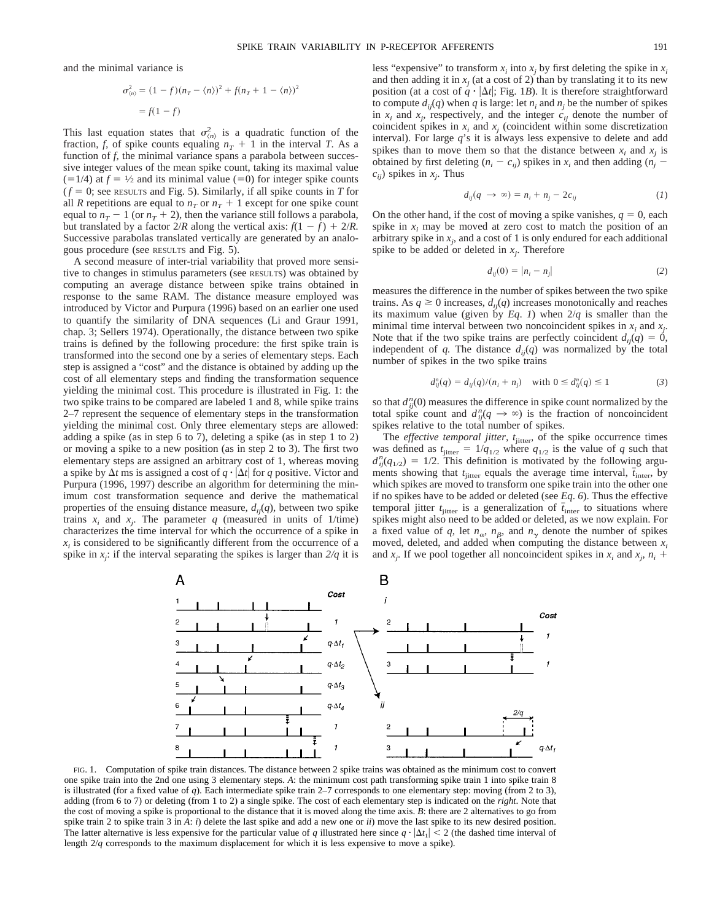and the minimal variance is

$$
\sigma_{(n)}^2 = (1 - f)(n_T - \langle n \rangle)^2 + f(n_T + 1 - \langle n \rangle)^2
$$
  
= f(1 - f)

This last equation states that  $\sigma_{(n)}^2$  is a quadratic function of the fraction, *f*, of spike counts equaling  $n_T + 1$  in the interval *T*. As a function of *f,* the minimal variance spans a parabola between successive integer values of the mean spike count, taking its maximal value  $(=1/4)$  at  $f = \frac{1}{2}$  and its minimal value (=0) for integer spike counts  $(f = 0)$ ; see RESULTS and Fig. 5). Similarly, if all spike counts in *T* for all *R* repetitions are equal to  $n_T$  or  $n_T + 1$  except for one spike count equal to  $n_T - 1$  (or  $n_T + 2$ ), then the variance still follows a parabola, but translated by a factor  $2/R$  along the vertical axis:  $f(1 - f) + 2/R$ . Successive parabolas translated vertically are generated by an analogous procedure (see RESULTS and Fig. 5).

A second measure of inter-trial variability that proved more sensitive to changes in stimulus parameters (see RESULTS) was obtained by computing an average distance between spike trains obtained in response to the same RAM. The distance measure employed was introduced by Victor and Purpura (1996) based on an earlier one used to quantify the similarity of DNA sequences (Li and Graur 1991, chap. 3; Sellers 1974). Operationally, the distance between two spike trains is defined by the following procedure: the first spike train is transformed into the second one by a series of elementary steps. Each step is assigned a "cost" and the distance is obtained by adding up the cost of all elementary steps and finding the transformation sequence yielding the minimal cost. This procedure is illustrated in Fig. 1: the two spike trains to be compared are labeled 1 and 8, while spike trains 2–7 represent the sequence of elementary steps in the transformation yielding the minimal cost. Only three elementary steps are allowed: adding a spike (as in step 6 to 7), deleting a spike (as in step 1 to 2) or moving a spike to a new position (as in step 2 to 3). The first two elementary steps are assigned an arbitrary cost of 1, whereas moving a spike by  $\Delta t$  ms is assigned a cost of  $q \cdot |\Delta t|$  for *q* positive. Victor and Purpura (1996, 1997) describe an algorithm for determining the minimum cost transformation sequence and derive the mathematical properties of the ensuing distance measure,  $d_{ij}(q)$ , between two spike trains  $x_i$  and  $x_j$ . The parameter  $q$  (measured in units of 1/time) characterizes the time interval for which the occurrence of a spike in  $x_i$  is considered to be significantly different from the occurrence of a spike in *xj* : if the interval separating the spikes is larger than *2/q* it is

less "expensive" to transform  $x_i$  into  $x_j$  by first deleting the spike in  $x_i$ and then adding it in  $x_i$  (at a cost of 2) than by translating it to its new position (at a cost of  $q \cdot |\Delta t|$ ; Fig. 1*B*). It is therefore straightforward to compute  $d_{ij}(q)$  when  $q$  is large: let  $n_i$  and  $n_j$  be the number of spikes in  $x_i$  and  $x_j$ , respectively, and the integer  $c_{ij}$  denote the number of coincident spikes in  $x_i$  and  $x_j$  (coincident within some discretization interval). For large *q*'s it is always less expensive to delete and add spikes than to move them so that the distance between  $x_i$  and  $x_j$  is obtained by first deleting  $(n_i - c_{ij})$  spikes in  $x_i$  and then adding  $(n_i - c_{ij})$  $c_{ij}$ ) spikes in  $x_j$ . Thus

$$
d_{ij}(q \to \infty) = n_i + n_j - 2c_{ij} \tag{1}
$$

On the other hand, if the cost of moving a spike vanishes,  $q = 0$ , each spike in  $x_i$  may be moved at zero cost to match the position of an arbitrary spike in  $x_j$ , and a cost of 1 is only endured for each additional spike to be added or deleted in  $x_j$ . Therefore

$$
d_{ij}(0) = |n_i - n_j|
$$
 (2)

measures the difference in the number of spikes between the two spike trains. As  $q \ge 0$  increases,  $d_{ij}(q)$  increases monotonically and reaches its maximum value (given by  $Eq. 1$ ) when  $2/q$  is smaller than the minimal time interval between two noncoincident spikes in  $x_i$  and  $x_j$ . Note that if the two spike trains are perfectly coincident  $d_{ij}(q) = 0$ , independent of *q*. The distance  $d_{ij}(q)$  was normalized by the total number of spikes in the two spike trains

$$
d_{ij}^{n}(q) = d_{ij}(q)/(n_i + n_j) \text{ with } 0 \le d_{ij}^{n}(q) \le 1 \tag{3}
$$

so that  $d_{ij}^n(0)$  measures the difference in spike count normalized by the total spike count and  $d_{ij}^n(q \to \infty)$  is the fraction of noncoincident spikes relative to the total number of spikes.

The *effective temporal jitter, t*<sub>jitter</sub>, of the spike occurrence times was defined as  $t_{\text{jitter}} = 1/q_{1/2}$  where  $q_{1/2}$  is the value of *q* such that  $d_{ij}^{n}(q_{1/2}) = 1/2$ . This definition is motivated by the following arguments showing that  $t_{\text{jitter}}$  equals the average time interval,  $\bar{t}_{\text{inter}}$ , by which spikes are moved to transform one spike train into the other one if no spikes have to be added or deleted (see *Eq*. *6*). Thus the effective temporal jitter  $t_{\text{jitter}}$  is a generalization of  $\bar{t}_{\text{inter}}$  to situations where spikes might also need to be added or deleted, as we now explain. For a fixed value of *q*, let  $n_{\alpha}$ ,  $n_{\beta}$ , and  $n_{\gamma}$  denote the number of spikes moved, deleted, and added when computing the distance between  $x_i$ and  $x_j$ . If we pool together all noncoincident spikes in  $x_i$  and  $x_j$ ,  $n_i$  +



FIG. 1. Computation of spike train distances. The distance between 2 spike trains was obtained as the minimum cost to convert one spike train into the 2nd one using 3 elementary steps. *A*: the minimum cost path transforming spike train 1 into spike train 8 is illustrated (for a fixed value of *q*). Each intermediate spike train 2–7 corresponds to one elementary step: moving (from 2 to 3), adding (from 6 to 7) or deleting (from 1 to 2) a single spike. The cost of each elementary step is indicated on the *right*. Note that the cost of moving a spike is proportional to the distance that it is moved along the time axis. *B*: there are 2 alternatives to go from spike train 2 to spike train 3 in *A*: *i*) delete the last spike and add a new one or *ii*) move the last spike to its new desired position. The latter alternative is less expensive for the particular value of *q* illustrated here since  $q \cdot |\Delta t_1| < 2$  (the dashed time interval of length 2/*q* corresponds to the maximum displacement for which it is less expensive to move a spike).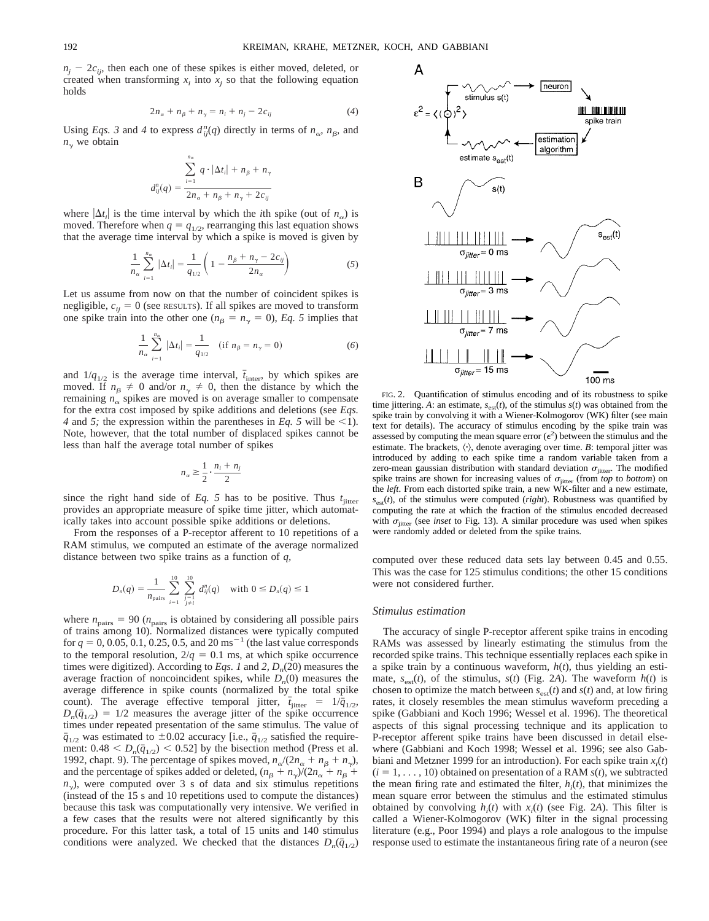А

 $n_i - 2c_{ii}$ , then each one of these spikes is either moved, deleted, or created when transforming  $x_i$  into  $x_j$  so that the following equation holds

$$
2n_{\alpha} + n_{\beta} + n_{\gamma} = n_i + n_j - 2c_{ij}
$$
 (4)

Using *Eqs.* 3 and 4 to express  $d_{ij}^n(q)$  directly in terms of  $n_\alpha$ ,  $n_\beta$ , and  $n_{\gamma}$  we obtain

$$
d_{ij}^n(q) = \frac{\sum_{i=1}^{n_\alpha} q \cdot |\Delta t_i| + n_\beta + n_\gamma}{2n_\alpha + n_\beta + n_\gamma + 2c_{ij}}
$$

where  $|\Delta t_i|$  is the time interval by which the *i*th spike (out of  $n_{\alpha}$ ) is moved. Therefore when  $q = q_{1/2}$ , rearranging this last equation shows that the average time interval by which a spike is moved is given by

$$
\frac{1}{n_{\alpha}}\sum_{i=1}^{n_{\alpha}}|\Delta t_i| = \frac{1}{q_{1/2}}\left(1 - \frac{n_{\beta} + n_{\gamma} - 2c_{ij}}{2n_{\alpha}}\right)
$$
(5)

Let us assume from now on that the number of coincident spikes is negligible,  $c_{ij} = 0$  (see RESULTS). If all spikes are moved to transform one spike train into the other one ( $n<sub>\beta</sub> = n<sub>\gamma</sub> = 0$ ), *Eq. 5* implies that

$$
\frac{1}{n_{\alpha}}\sum_{i=1}^{n_{\alpha}}|\Delta t_i| = \frac{1}{q_{1/2}} \quad (\text{if } n_{\beta} = n_{\gamma} = 0)
$$
 (6)

and  $1/q_{1/2}$  is the average time interval,  $\bar{t}_{\text{inter}}$ , by which spikes are moved. If  $n_{\beta} \neq 0$  and/or  $n_{\gamma} \neq 0$ , then the distance by which the remaining  $n_{\alpha}$  spikes are moved is on average smaller to compensate for the extra cost imposed by spike additions and deletions (see *Eqs. 4* and *5*; the expression within the parentheses in *Eq. 5* will be <1). Note, however, that the total number of displaced spikes cannot be less than half the average total number of spikes

$$
n_{\alpha} \geq \frac{1}{2} \cdot \frac{n_i + n_j}{2}
$$

since the right hand side of  $Eq. 5$  has to be positive. Thus  $t_{\text{jitter}}$ provides an appropriate measure of spike time jitter, which automatically takes into account possible spike additions or deletions.

From the responses of a P-receptor afferent to 10 repetitions of a RAM stimulus, we computed an estimate of the average normalized distance between two spike trains as a function of *q,*

$$
D_n(q) = \frac{1}{n_{\text{pairs}}} \sum_{\substack{i=1 \ i \neq i}}^{10} \sum_{\substack{j=1 \ j \neq i}}^{10} d_{ij}^n(q) \text{ with } 0 \leq D_n(q) \leq 1
$$

where  $n_{\text{pairs}} = 90$  ( $n_{\text{pairs}}$  is obtained by considering all possible pairs of trains among 10). Normalized distances were typically computed for  $q = 0, 0.05, 0.1, 0.25, 0.5,$  and 20 ms<sup>-1</sup> (the last value corresponds to the temporal resolution,  $2/q = 0.1$  ms, at which spike occurrence times were digitized). According to *Eqs. 1* and 2,  $D_n(20)$  measures the average fraction of noncoincident spikes, while  $D_n(0)$  measures the average difference in spike counts (normalized by the total spike count). The average effective temporal jitter,  $\bar{t}_{jitter} = 1/\bar{q}_{1/2}$ ,  $D_n(\bar{q}_{1/2}) = 1/2$  measures the average jitter of the spike occurrence times under repeated presentation of the same stimulus. The value of  $\bar{q}_{1/2}$  was estimated to  $\pm 0.02$  accuracy [i.e.,  $\bar{q}_{1/2}$  satisfied the requirement:  $0.48 < D_n(\bar{q}_{1/2}) < 0.52$ ] by the bisection method (Press et al. 1992, chapt. 9). The percentage of spikes moved,  $n_{\alpha}/(2n_{\alpha} + n_{\beta} + n_{\gamma})$ , and the percentage of spikes added or deleted,  $(n_\beta + n_\gamma)/(2n_\alpha + n_\beta + n_\gamma)$  $n_{\gamma}$ ), were computed over 3 s of data and six stimulus repetitions (instead of the 15 s and 10 repetitions used to compute the distances) because this task was computationally very intensive. We verified in a few cases that the results were not altered significantly by this procedure. For this latter task, a total of 15 units and 140 stimulus conditions were analyzed. We checked that the distances  $D_n(\bar{q}_{1/2})$ 



neuron

time jittering. *A*: an estimate,  $s_{est}(t)$ , of the stimulus  $s(t)$  was obtained from the spike train by convolving it with a Wiener-Kolmogorov (WK) filter (see main text for details). The accuracy of stimulus encoding by the spike train was assessed by computing the mean square error  $(\epsilon^2)$  between the stimulus and the estimate. The brackets,  $\langle \cdot \rangle$ , denote averaging over time. *B*: temporal jitter was introduced by adding to each spike time a random variable taken from a zero-mean gaussian distribution with standard deviation  $\sigma_{\text{inter}}$ . The modified spike trains are shown for increasing values of  $\sigma_{\text{inter}}$  (from *top* to *bottom*) on the *left*. From each distorted spike train, a new WK-filter and a new estimate,  $s_{est}(t)$ , of the stimulus were computed (*right*). Robustness was quantified by computing the rate at which the fraction of the stimulus encoded decreased with  $\sigma_{\text{inter}}$  (see *inset* to Fig. 13). A similar procedure was used when spikes were randomly added or deleted from the spike trains.

computed over these reduced data sets lay between 0.45 and 0.55. This was the case for 125 stimulus conditions; the other 15 conditions were not considered further.

#### *Stimulus estimation*

The accuracy of single P-receptor afferent spike trains in encoding RAMs was assessed by linearly estimating the stimulus from the recorded spike trains. This technique essentially replaces each spike in a spike train by a continuous waveform, *h*(*t*), thus yielding an estimate,  $s_{est}(t)$ , of the stimulus,  $s(t)$  (Fig. 2*A*). The waveform  $h(t)$  is chosen to optimize the match between  $s_{est}(t)$  and  $s(t)$  and, at low firing rates, it closely resembles the mean stimulus waveform preceding a spike (Gabbiani and Koch 1996; Wessel et al. 1996). The theoretical aspects of this signal processing technique and its application to P-receptor afferent spike trains have been discussed in detail elsewhere (Gabbiani and Koch 1998; Wessel et al. 1996; see also Gabbiani and Metzner 1999 for an introduction). For each spike train  $x_i(t)$  $(i = 1, \ldots, 10)$  obtained on presentation of a RAM  $s(t)$ , we subtracted the mean firing rate and estimated the filter,  $h_i(t)$ , that minimizes the mean square error between the stimulus and the estimated stimulus obtained by convolving  $h_i(t)$  with  $x_i(t)$  (see Fig. 2*A*). This filter is called a Wiener-Kolmogorov (WK) filter in the signal processing literature (e.g., Poor 1994) and plays a role analogous to the impulse response used to estimate the instantaneous firing rate of a neuron (see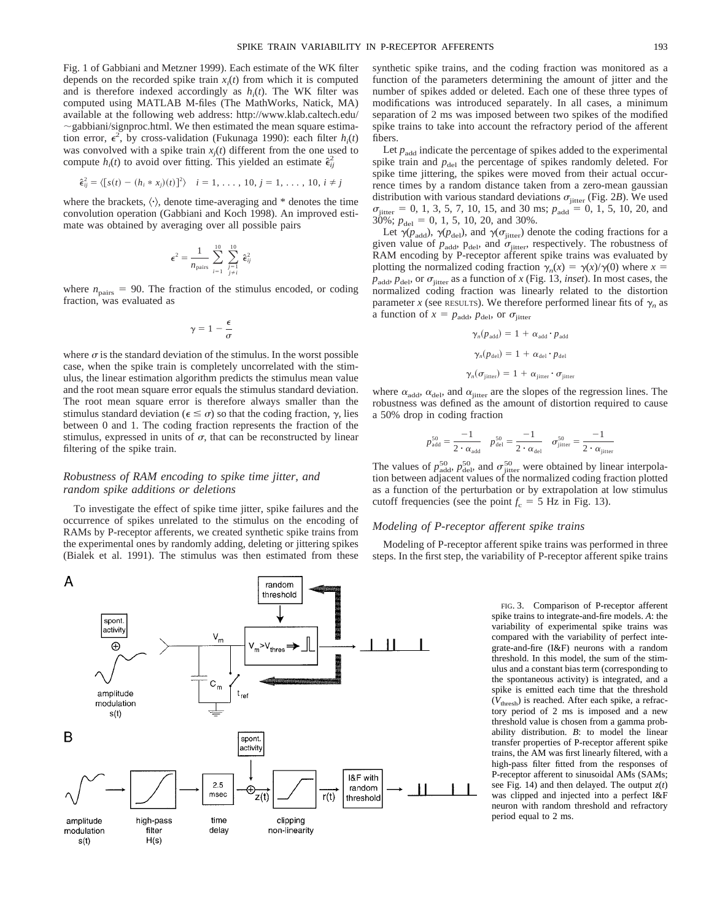Fig. 1 of Gabbiani and Metzner 1999). Each estimate of the WK filter depends on the recorded spike train  $x_i(t)$  from which it is computed and is therefore indexed accordingly as  $h_i(t)$ . The WK filter was computed using MATLAB M-files (The MathWorks, Natick, MA) available at the following web address: http://www.klab.caltech.edu/  $\sim$ gabbiani/signproc.html. We then estimated the mean square estimation error,  $\epsilon^2$ , by cross-validation (Fukunaga 1990): each filter  $h_i(t)$ was convolved with a spike train  $x_j(t)$  different from the one used to compute  $h_i(t)$  to avoid over fitting. This yielded an estimate  $\hat{\epsilon}_{ij}^2$ 

$$
\hat{\epsilon}_{ij}^2 = \langle [s(t) - (h_i * x_j)(t)]^2 \rangle \quad i = 1, \dots, 10, j = 1, \dots, 10, i \neq j
$$

where the brackets,  $\langle \cdot \rangle$ , denote time-averaging and  $*$  denotes the time convolution operation (Gabbiani and Koch 1998). An improved estimate was obtained by averaging over all possible pairs

$$
\epsilon^2 = \frac{1}{n_{\text{pairs}}}\sum_{i=1}^{10} \sum_{\substack{j=1 \ j \neq i}}^{10} \hat{\epsilon}_{ij}^2
$$

where  $n_{\text{pairs}} = 90$ . The fraction of the stimulus encoded, or coding fraction, was evaluated as

$$
\gamma = 1 - \frac{\epsilon}{\sigma}
$$

where  $\sigma$  is the standard deviation of the stimulus. In the worst possible case, when the spike train is completely uncorrelated with the stimulus, the linear estimation algorithm predicts the stimulus mean value and the root mean square error equals the stimulus standard deviation. The root mean square error is therefore always smaller than the stimulus standard deviation ( $\epsilon \leq \sigma$ ) so that the coding fraction,  $\gamma$ , lies between 0 and 1. The coding fraction represents the fraction of the stimulus, expressed in units of  $\sigma$ , that can be reconstructed by linear filtering of the spike train.

## *Robustness of RAM encoding to spike time jitter, and random spike additions or deletions*

A

modulation

 $s(t)$ 

filter

 $H(s)$ 

occurrence of spikes unrelated to the stimulus on the encoding of RAMs by P-receptor afferents, we created synthetic spike trains from the experimental ones by randomly adding, deleting or jittering spikes (Bialek et al. 1991). The stimulus was then estimated from these

To investigate the effect of spike time jitter, spike failures and the random threshold spont. activity  $\oplus$  $v_{\text{thres}} \rightarrow v_{\text{thres}}$  $\mathtt{C}_{\mathsf{m}}$  $\rm t_{ref}$ amplitude modulation  $s(t)$ 

B spont activity I&F with  $2.5$ random ⊕ msec z(t)  $r(t)$ threshold amplitude high-pass time clipping

non-linearity

delay

synthetic spike trains, and the coding fraction was monitored as a function of the parameters determining the amount of jitter and the number of spikes added or deleted. Each one of these three types of modifications was introduced separately. In all cases, a minimum separation of 2 ms was imposed between two spikes of the modified spike trains to take into account the refractory period of the afferent fibers.

Let  $p_{\text{add}}$  indicate the percentage of spikes added to the experimental spike train and  $p_{\text{del}}$  the percentage of spikes randomly deleted. For spike time jittering, the spikes were moved from their actual occurrence times by a random distance taken from a zero-mean gaussian distribution with various standard deviations  $\sigma_{\text{jitter}}$  (Fig. 2*B*). We used  $\sigma_{\text{jitter}} = 0, 1, 3, 5, 7, 10, 15, \text{ and } 30 \text{ ms}; p_{\text{add}} = 0, 1, 5, 10, 20, \text{ and }$  $30\%$ ;  $p_{\text{del}} = 0, 1, 5, 10, 20, \text{ and } 30\%$ .

Let  $\gamma(p_{\text{add}}), \gamma(p_{\text{del}})$ , and  $\gamma(\sigma_{\text{jitter}})$  denote the coding fractions for a given value of  $p_{\text{add}}$ ,  $p_{\text{del}}$ , and  $\sigma_{\text{jitter}}$ , respectively. The robustness of RAM encoding by P-receptor afferent spike trains was evaluated by plotting the normalized coding fraction  $\gamma_n(x) = \gamma(x)/\gamma(0)$  where  $x =$  $p_{\text{add}}$ ,  $p_{\text{del}}$ , or  $\sigma_{\text{jitter}}$  as a function of *x* (Fig. 13, *inset*). In most cases, the normalized coding fraction was linearly related to the distortion parameter *x* (see RESULTS). We therefore performed linear fits of  $\gamma_n$  as a function of  $x = p_{\text{add}}$ ,  $p_{\text{del}}$ , or  $\sigma_{\text{jitter}}$ 

$$
\gamma_n(p_{\text{add}}) = 1 + \alpha_{\text{add}} \cdot p_{\text{add}}
$$

$$
\gamma_n(p_{\text{del}}) = 1 + \alpha_{\text{del}} \cdot p_{\text{del}}
$$

$$
\gamma_n(\sigma_{\text{jitter}}) = 1 + \alpha_{\text{jitter}} \cdot \sigma_{\text{jitter}}
$$

where  $\alpha_{\text{add}}$ ,  $\alpha_{\text{del}}$ , and  $\alpha_{\text{jitter}}$  are the slopes of the regression lines. The robustness was defined as the amount of distortion required to cause a 50% drop in coding fraction

$$
p_{\text{add}}^{50} = \frac{-1}{2 \cdot \alpha_{\text{add}}} \quad p_{\text{del}}^{50} = \frac{-1}{2 \cdot \alpha_{\text{del}}} \quad \sigma_{\text{jitter}}^{50} = \frac{-1}{2 \cdot \alpha_{\text{jitter}}}
$$

The values of  $p_{\text{add}}^{50}$ ,  $p_{\text{del}}^{50}$ , and  $\sigma_{\text{jitter}}^{50}$  were obtained by linear interpolation between adjacent values of the normalized coding fraction plotted as a function of the perturbation or by extrapolation at low stimulus cutoff frequencies (see the point  $f_c = 5$  Hz in Fig. 13).

## *Modeling of P-receptor afferent spike trains*

Modeling of P-receptor afferent spike trains was performed in three steps. In the first step, the variability of P-receptor afferent spike trains

> FIG. 3. Comparison of P-receptor afferent spike trains to integrate-and-fire models. *A*: the variability of experimental spike trains was compared with the variability of perfect integrate-and-fire (I&F) neurons with a random threshold. In this model, the sum of the stimulus and a constant bias term (corresponding to the spontaneous activity) is integrated, and a spike is emitted each time that the threshold (*V*thresh) is reached. After each spike, a refractory period of 2 ms is imposed and a new threshold value is chosen from a gamma probability distribution. *B*: to model the linear transfer properties of P-receptor afferent spike trains, the AM was first linearly filtered, with a high-pass filter fitted from the responses of P-receptor afferent to sinusoidal AMs (SAMs; see Fig. 14) and then delayed. The output *z*(*t*) was clipped and injected into a perfect I&F neuron with random threshold and refractory period equal to 2 ms.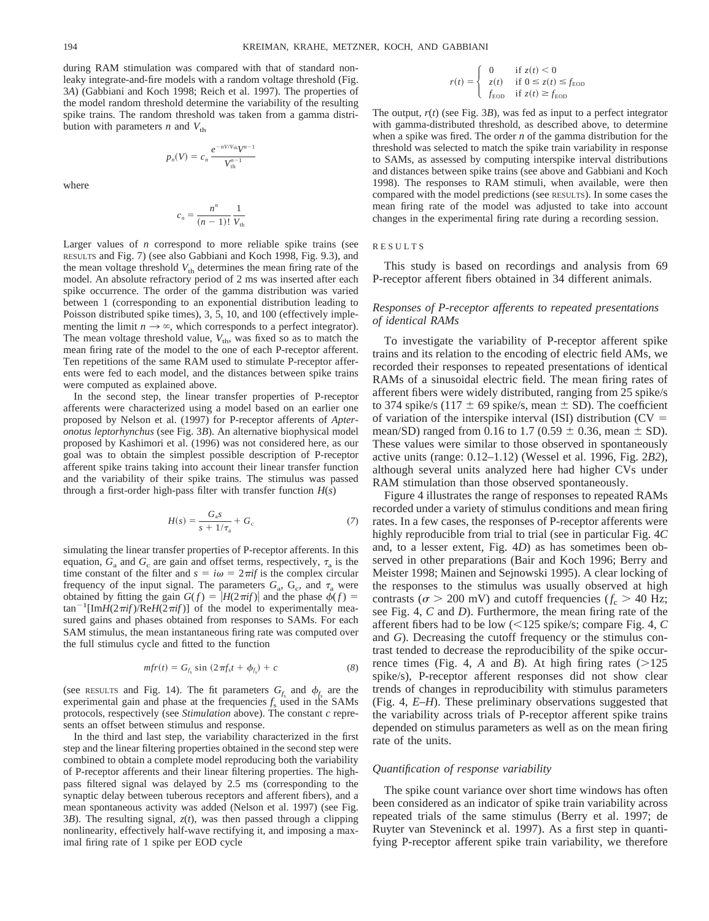during RAM stimulation was compared with that of standard nonleaky integrate-and-fire models with a random voltage threshold (Fig. 3*A*) (Gabbiani and Koch 1998; Reich et al. 1997). The properties of the model random threshold determine the variability of the resulting spike trains. The random threshold was taken from a gamma distribution with parameters  $n$  and  $V_{th}$ 

> $p_n(V) = c_n \frac{e^{-nV/V_{\text{th}}}V^{n-1}}{V^{n-1}}$  $V_{\text{th}}^{n-1}$

where

$$
c_n = \frac{n^n}{(n-1)!} \frac{1}{V_{\text{th}}}
$$

Larger values of *n* correspond to more reliable spike trains (see RESULTS and Fig. 7) (see also Gabbiani and Koch 1998, Fig. 9.3), and the mean voltage threshold  $V_{th}$  determines the mean firing rate of the model. An absolute refractory period of 2 ms was inserted after each spike occurrence. The order of the gamma distribution was varied between 1 (corresponding to an exponential distribution leading to Poisson distributed spike times), 3, 5, 10, and 100 (effectively implementing the limit  $n \to \infty$ , which corresponds to a perfect integrator). The mean voltage threshold value,  $V_{th}$ , was fixed so as to match the mean firing rate of the model to the one of each P-receptor afferent. Ten repetitions of the same RAM used to stimulate P-receptor afferents were fed to each model, and the distances between spike trains were computed as explained above.

In the second step, the linear transfer properties of P-receptor afferents were characterized using a model based on an earlier one proposed by Nelson et al. (1997) for P-receptor afferents of *Apteronotus leptorhynchus* (see Fig. 3*B*). An alternative biophysical model proposed by Kashimori et al. (1996) was not considered here, as our goal was to obtain the simplest possible description of P-receptor afferent spike trains taking into account their linear transfer function and the variability of their spike trains. The stimulus was passed through a first-order high-pass filter with transfer function *H*(*s*)

$$
H(s) = \frac{G_{a}s}{s + 1/\tau_{a}} + G_{c}
$$
 (7)

simulating the linear transfer properties of P-receptor afferents. In this equation,  $G_a$  and  $G_c$  are gain and offset terms, respectively,  $\tau_a$  is the time constant of the filter and  $s = i\omega = 2\pi i f$  is the complex circular frequency of the input signal. The parameters  $G_a$ ,  $G_c$ , and  $\tau_a$  were obtained by fitting the gain  $G(f) = |H(2\pi i f)|$  and the phase  $\phi(f) =$  $\tan^{-1}$ [Im*H*(2 $\pi$ *if*)/Re*H*(2 $\pi$ *if*)] of the model to experimentally measured gains and phases obtained from responses to SAMs. For each SAM stimulus, the mean instantaneous firing rate was computed over the full stimulus cycle and fitted to the function

$$
mfr(t) = G_{f_s} \sin(2\pi f_s t + \phi_{f_s}) + c \tag{8}
$$

(see RESULTS and Fig. 14). The fit parameters  $G_f$  and  $\phi_f$  are the experimental gain and phase at the frequencies  $f_s$  used in the SAMs protocols, respectively (see *Stimulation* above). The constant *c* represents an offset between stimulus and response.

In the third and last step, the variability characterized in the first step and the linear filtering properties obtained in the second step were combined to obtain a complete model reproducing both the variability of P-receptor afferents and their linear filtering properties. The highpass filtered signal was delayed by 2.5 ms (corresponding to the synaptic delay between tuberous receptors and afferent fibers), and a mean spontaneous activity was added (Nelson et al. 1997) (see Fig. 3*B*). The resulting signal, *z*(*t*), was then passed through a clipping nonlinearity, effectively half-wave rectifying it, and imposing a maximal firing rate of 1 spike per EOD cycle

$$
r(t) = \begin{cases} 0 & \text{if } z(t) < 0\\ z(t) & \text{if } 0 \le z(t) \le f_{\text{EOD}}\\ f_{\text{EOD}} & \text{if } z(t) \ge f_{\text{EOD}} \end{cases}
$$

The output, *r*(*t*) (see Fig. 3*B*), was fed as input to a perfect integrator with gamma-distributed threshold, as described above, to determine when a spike was fired. The order *n* of the gamma distribution for the threshold was selected to match the spike train variability in response to SAMs, as assessed by computing interspike interval distributions and distances between spike trains (see above and Gabbiani and Koch 1998). The responses to RAM stimuli, when available, were then compared with the model predictions (see RESULTS). In some cases the mean firing rate of the model was adjusted to take into account changes in the experimental firing rate during a recording session.

#### RESULTS

This study is based on recordings and analysis from 69 P-receptor afferent fibers obtained in 34 different animals.

## *Responses of P-receptor afferents to repeated presentations of identical RAMs*

To investigate the variability of P-receptor afferent spike trains and its relation to the encoding of electric field AMs, we recorded their responses to repeated presentations of identical RAMs of a sinusoidal electric field. The mean firing rates of afferent fibers were widely distributed, ranging from 25 spike/s to 374 spike/s (117  $\pm$  69 spike/s, mean  $\pm$  SD). The coefficient of variation of the interspike interval (ISI) distribution ( $CV =$ mean/SD) ranged from 0.16 to 1.7 (0.59  $\pm$  0.36, mean  $\pm$  SD). These values were similar to those observed in spontaneously active units (range: 0.12–1.12) (Wessel et al. 1996, Fig. 2*B2*), although several units analyzed here had higher CVs under RAM stimulation than those observed spontaneously.

Figure 4 illustrates the range of responses to repeated RAMs recorded under a variety of stimulus conditions and mean firing rates. In a few cases, the responses of P-receptor afferents were highly reproducible from trial to trial (see in particular Fig. 4*C* and, to a lesser extent, Fig. 4*D*) as has sometimes been observed in other preparations (Bair and Koch 1996; Berry and Meister 1998; Mainen and Sejnowski 1995). A clear locking of the responses to the stimulus was usually observed at high contrasts ( $\sigma > 200$  mV) and cutoff frequencies ( $f_c > 40$  Hz; see Fig. 4, *C* and *D*). Furthermore, the mean firing rate of the afferent fibers had to be low  $\ll 125$  spike/s; compare Fig. 4, *C* and *G*). Decreasing the cutoff frequency or the stimulus contrast tended to decrease the reproducibility of the spike occurrence times (Fig. 4, *A* and *B*). At high firing rates  $(>125$ spike/s), P-receptor afferent responses did not show clear trends of changes in reproducibility with stimulus parameters (Fig. 4, *E–H*). These preliminary observations suggested that the variability across trials of P-receptor afferent spike trains depended on stimulus parameters as well as on the mean firing rate of the units.

#### *Quantification of response variability*

The spike count variance over short time windows has often been considered as an indicator of spike train variability across repeated trials of the same stimulus (Berry et al. 1997; de Ruyter van Steveninck et al. 1997). As a first step in quantifying P-receptor afferent spike train variability, we therefore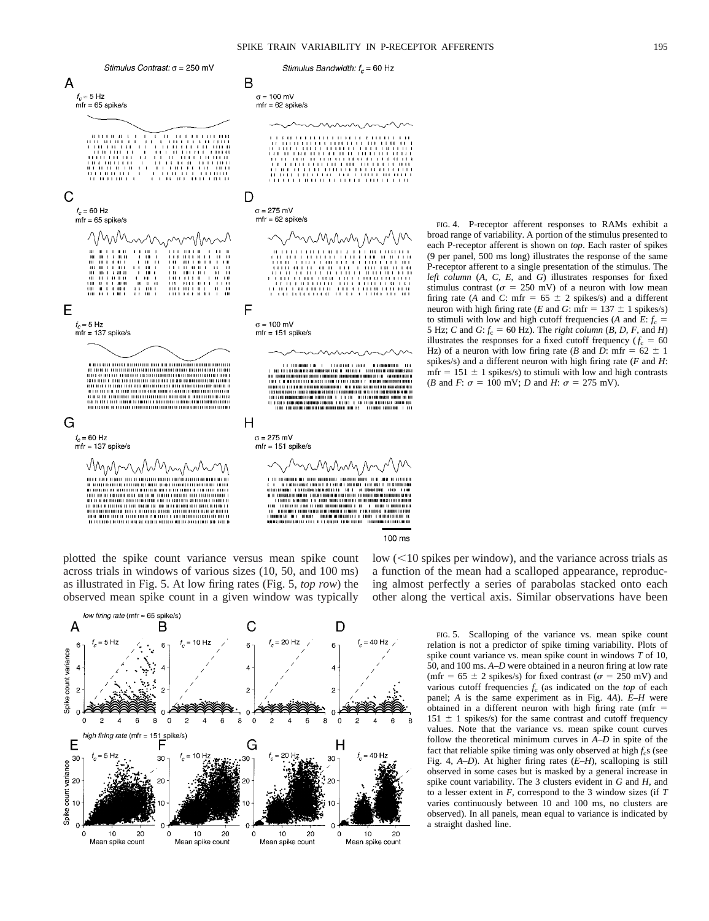100 ms



plotted the spike count variance versus mean spike count across trials in windows of various sizes (10, 50, and 100 ms) as illustrated in Fig. 5. At low firing rates (Fig. 5, *top row*) the observed mean spike count in a given window was typically



FIG. 4. P-receptor afferent responses to RAMs exhibit a broad range of variability. A portion of the stimulus presented to each P-receptor afferent is shown on *top*. Each raster of spikes (9 per panel, 500 ms long) illustrates the response of the same P-receptor afferent to a single presentation of the stimulus. The *left column* (*A, C, E,* and *G*) illustrates responses for fixed stimulus contrast ( $\sigma = 250$  mV) of a neuron with low mean firing rate (*A* and *C*: mfr =  $65 \pm 2$  spikes/s) and a different neuron with high firing rate (*E* and *G*: mfr =  $137 \pm 1$  spikes/s) to stimuli with low and high cutoff frequencies (*A* and  $\vec{E}$ :  $f_c$  = 5 Hz; *C* and *G*:  $f_c = 60$  Hz). The *right column* (*B*, *D*, *F*, and *H*) illustrates the responses for a fixed cutoff frequency ( $f_c = 60$ Hz) of a neuron with low firing rate (*B* and *D*: mfr =  $62 \pm 1$ spikes/s) and a different neuron with high firing rate (*F* and *H*:  $mfr = 151 \pm 1$  spikes/s) to stimuli with low and high contrasts (*B* and *F*:  $\sigma = 100$  mV; *D* and *H*:  $\sigma = 275$  mV).

low  $(<10$  spikes per window), and the variance across trials as a function of the mean had a scalloped appearance, reproducing almost perfectly a series of parabolas stacked onto each other along the vertical axis. Similar observations have been

> FIG. 5. Scalloping of the variance vs. mean spike count relation is not a predictor of spike timing variability. Plots of spike count variance vs. mean spike count in windows *T* of 10, 50, and 100 ms. *A–D* were obtained in a neuron firing at low rate (mfr =  $65 \pm 2$  spikes/s) for fixed contrast ( $\sigma = 250$  mV) and various cutoff frequencies  $f_c$  (as indicated on the *top* of each panel; *A* is the same experiment as in Fig. 4*A*). *E–H* were obtained in a different neuron with high firing rate (mfr  $=$  $151 \pm 1$  spikes/s) for the same contrast and cutoff frequency values. Note that the variance vs. mean spike count curves follow the theoretical minimum curves in *A–D* in spite of the fact that reliable spike timing was only observed at high  $f_c$ s (see Fig. 4, *A–D*). At higher firing rates (*E–H*), scalloping is still observed in some cases but is masked by a general increase in spike count variability. The 3 clusters evident in *G* and *H,* and to a lesser extent in  $\overline{F}$ , correspond to the 3 window sizes (if  $T$ varies continuously between 10 and 100 ms, no clusters are observed). In all panels, mean equal to variance is indicated by a straight dashed line.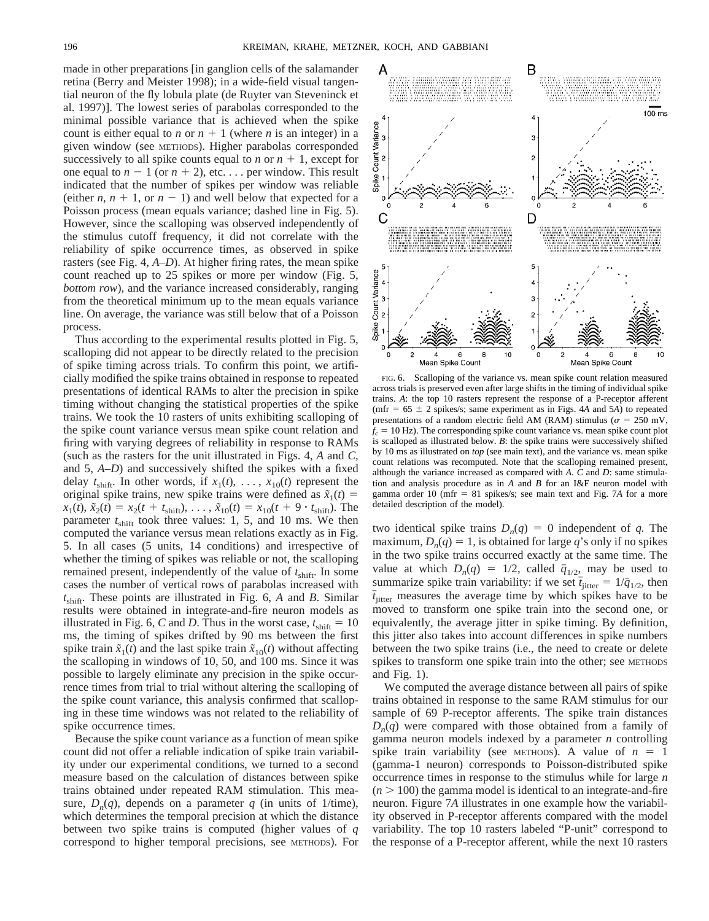made in other preparations [in ganglion cells of the salamander retina (Berry and Meister 1998); in a wide-field visual tangential neuron of the fly lobula plate (de Ruyter van Steveninck et al. 1997)]. The lowest series of parabolas corresponded to the minimal possible variance that is achieved when the spike count is either equal to *n* or  $n + 1$  (where *n* is an integer) in a given window (see METHODS). Higher parabolas corresponded successively to all spike counts equal to *n* or  $n + 1$ , except for one equal to  $n - 1$  (or  $n + 2$ ), etc... per window. This result indicated that the number of spikes per window was reliable (either *n*,  $n + 1$ , or  $n - 1$ ) and well below that expected for a Poisson process (mean equals variance; dashed line in Fig. 5). However, since the scalloping was observed independently of the stimulus cutoff frequency, it did not correlate with the reliability of spike occurrence times, as observed in spike rasters (see Fig. 4, *A–D*). At higher firing rates, the mean spike count reached up to 25 spikes or more per window (Fig. 5, *bottom row*), and the variance increased considerably, ranging from the theoretical minimum up to the mean equals variance line. On average, the variance was still below that of a Poisson process.

Thus according to the experimental results plotted in Fig. 5, scalloping did not appear to be directly related to the precision of spike timing across trials. To confirm this point, we artificially modified the spike trains obtained in response to repeated presentations of identical RAMs to alter the precision in spike timing without changing the statistical properties of the spike trains. We took the 10 rasters of units exhibiting scalloping of the spike count variance versus mean spike count relation and firing with varying degrees of reliability in response to RAMs (such as the rasters for the unit illustrated in Figs. 4, *A* and *C,* and 5, *A*–*D*) and successively shifted the spikes with a fixed delay  $t_{\text{shift}}$ . In other words, if  $x_1(t), \ldots, x_{10}(t)$  represent the original spike trains, new spike trains were defined as  $\tilde{x}_1(t)$  =  $x_1(t)$ ,  $\tilde{x}_2(t) = x_2(t + t_{\text{shift}}), \dots, \tilde{x}_{10}(t) = x_{10}(t + 9 \cdot t_{\text{shift}})$ . The parameter  $t_{\text{shift}}$  took three values: 1, 5, and 10 ms. We then computed the variance versus mean relations exactly as in Fig. 5. In all cases (5 units, 14 conditions) and irrespective of whether the timing of spikes was reliable or not, the scalloping remained present, independently of the value of  $t_{\text{shift}}$ . In some cases the number of vertical rows of parabolas increased with  $t_{\text{shift}}$ . These points are illustrated in Fig. 6, *A* and *B*. Similar results were obtained in integrate-and-fire neuron models as illustrated in Fig. 6, *C* and *D*. Thus in the worst case,  $t_{\text{shift}} = 10$ ms, the timing of spikes drifted by 90 ms between the first spike train  $\tilde{x}_1(t)$  and the last spike train  $\tilde{x}_{10}(t)$  without affecting the scalloping in windows of 10, 50, and 100 ms. Since it was possible to largely eliminate any precision in the spike occurrence times from trial to trial without altering the scalloping of the spike count variance, this analysis confirmed that scalloping in these time windows was not related to the reliability of spike occurrence times.

Because the spike count variance as a function of mean spike count did not offer a reliable indication of spike train variability under our experimental conditions, we turned to a second measure based on the calculation of distances between spike trains obtained under repeated RAM stimulation. This measure,  $D_n(q)$ , depends on a parameter q (in units of 1/time), which determines the temporal precision at which the distance between two spike trains is computed (higher values of *q* correspond to higher temporal precisions, see METHODS). For

FIG. 6. Scalloping of the variance vs. mean spike count relation measured across trials is preserved even after large shifts in the timing of individual spike trains. *A*: the top 10 rasters represent the response of a P-receptor afferent (mfr =  $65 \pm 2$  spikes/s; same experiment as in Figs. 4*A* and 5*A*) to repeated presentations of a random electric field AM (RAM) stimulus ( $\sigma = 250$  mV,  $f_c = 10$  Hz). The corresponding spike count variance vs. mean spike count plot is scalloped as illustrated below. *B*: the spike trains were successively shifted by 10 ms as illustrated on *top* (see main text), and the variance vs. mean spike count relations was recomputed. Note that the scalloping remained present, although the variance increased as compared with *A*. *C* and *D*: same stimulation and analysis procedure as in *A* and *B* for an I&F neuron model with gamma order 10 (mfr 5 81 spikes/s; see main text and Fig. 7*A* for a more detailed description of the model).

two identical spike trains  $D_n(q) = 0$  independent of *q*. The maximum,  $D_n(q) = 1$ , is obtained for large *q*'s only if no spikes in the two spike trains occurred exactly at the same time. The value at which  $D_n(q) = 1/2$ , called  $\bar{q}_{1/2}$ , may be used to summarize spike train variability: if we set  $\bar{t}_{\text{jitter}} = 1/\bar{q}_{1/2}$ , then  $\bar{t}_{\text{litter}}$  measures the average time by which spikes have to be moved to transform one spike train into the second one, or equivalently, the average jitter in spike timing. By definition, this jitter also takes into account differences in spike numbers between the two spike trains (i.e., the need to create or delete spikes to transform one spike train into the other; see METHODS and Fig. 1).

We computed the average distance between all pairs of spike trains obtained in response to the same RAM stimulus for our sample of 69 P-receptor afferents. The spike train distances  $D_n(q)$  were compared with those obtained from a family of gamma neuron models indexed by a parameter *n* controlling spike train variability (see METHODS). A value of  $n = 1$ (gamma-1 neuron) corresponds to Poisson-distributed spike occurrence times in response to the stimulus while for large *n*  $(n > 100)$  the gamma model is identical to an integrate-and-fire neuron. Figure 7*A* illustrates in one example how the variability observed in P-receptor afferents compared with the model variability. The top 10 rasters labeled "P-unit" correspond to the response of a P-receptor afferent, while the next 10 rasters

 $\Omega$ 0 C D

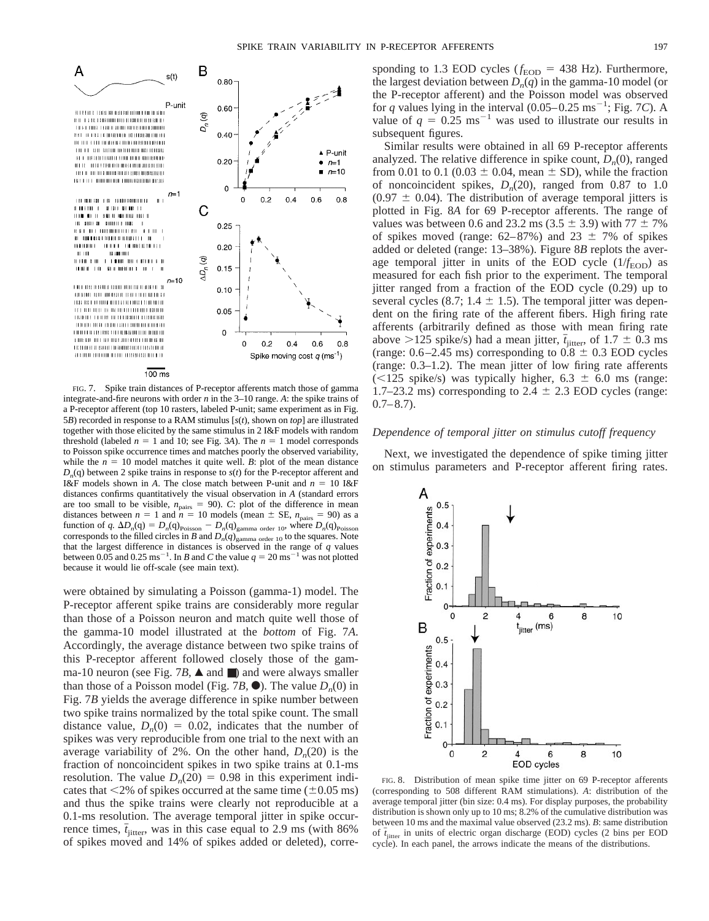

FIG. 7. Spike train distances of P-receptor afferents match those of gamma integrate-and-fire neurons with order *n* in the 3–10 range. *A*: the spike trains of a P-receptor afferent (top 10 rasters, labeled P-unit; same experiment as in Fig. 5*B*) recorded in response to a RAM stimulus [*s*(*t*), shown on *top*] are illustrated together with those elicited by the same stimulus in 2 I&F models with random threshold (labeled  $n = 1$  and 10; see Fig. 3*A*). The  $n = 1$  model corresponds to Poisson spike occurrence times and matches poorly the observed variability, while the  $n = 10$  model matches it quite well. *B*: plot of the mean distance  $D_n(q)$  between 2 spike trains in response to  $s(t)$  for the P-receptor afferent and I&F models shown in *A*. The close match between P-unit and  $n = 10$  I&F distances confirms quantitatively the visual observation in *A* (standard errors are too small to be visible,  $n_{\text{pairs}} = 90$ . *C*: plot of the difference in mean distances between  $n = 1$  and  $n = 10$  models (mean  $\pm$  SE,  $n_{\text{pairs}} = 90$ ) as a function of *q.*  $\Delta D_n(q) = D_n(q)_{\text{Poisson}} - D_n(q)_{\text{gamma order 10}}$ , where  $D_n(q)_{\text{Poisson}}$ corresponds to the filled circles in  $\ddot{B}$  and  $D_n(q)$  g<sub>amma order 10</sub> to the squares. Note that the largest difference in distances is observed in the range of *q* values between 0.05 and 0.25 ms<sup>-1</sup>. In *B* and *C* the value  $q = 20 \text{ ms}^{-1}$  was not plotted because it would lie off-scale (see main text).

were obtained by simulating a Poisson (gamma-1) model. The P-receptor afferent spike trains are considerably more regular than those of a Poisson neuron and match quite well those of the gamma-10 model illustrated at the *bottom* of Fig. 7*A*. Accordingly, the average distance between two spike trains of this P-receptor afferent followed closely those of the gamma-10 neuron (see Fig. 7*B*,  $\triangle$  and  $\Box$ ) and were always smaller than those of a Poisson model (Fig. 7*B*,  $\bullet$ ). The value  $D_n(0)$  in Fig. 7*B* yields the average difference in spike number between two spike trains normalized by the total spike count. The small distance value,  $D_n(0) = 0.02$ , indicates that the number of spikes was very reproducible from one trial to the next with an average variability of 2%. On the other hand,  $D_n(20)$  is the fraction of noncoincident spikes in two spike trains at 0.1-ms resolution. The value  $D_n(20) = 0.98$  in this experiment indicates that  $\leq$ 2% of spikes occurred at the same time ( $\pm$ 0.05 ms) and thus the spike trains were clearly not reproducible at a 0.1-ms resolution. The average temporal jitter in spike occurrence times,  $\bar{t}_{\text{jitter}}$ , was in this case equal to 2.9 ms (with 86% of spikes moved and 14% of spikes added or deleted), corresponding to 1.3 EOD cycles ( $f_{\text{EOD}}$  = 438 Hz). Furthermore, the largest deviation between  $D_n(q)$  in the gamma-10 model (or the P-receptor afferent) and the Poisson model was observed for *q* values lying in the interval  $(0.05-0.25 \text{ ms}^{-1})$ ; Fig. 7*C*). A value of  $q = 0.25$  ms<sup>-1</sup> was used to illustrate our results in subsequent figures.

Similar results were obtained in all 69 P-receptor afferents analyzed. The relative difference in spike count,  $D<sub>n</sub>(0)$ , ranged from 0.01 to 0.1 (0.03  $\pm$  0.04, mean  $\pm$  SD), while the fraction of noncoincident spikes,  $D_n(20)$ , ranged from 0.87 to 1.0  $(0.97 \pm 0.04)$ . The distribution of average temporal jitters is plotted in Fig. 8*A* for 69 P-receptor afferents. The range of values was between 0.6 and 23.2 ms (3.5  $\pm$  3.9) with 77  $\pm$  7% of spikes moved (range:  $62-87%$ ) and  $23 \pm 7%$  of spikes added or deleted (range: 13–38%). Figure 8*B* replots the average temporal jitter in units of the EOD cycle  $(1/f<sub>EOD</sub>)$  as measured for each fish prior to the experiment. The temporal jitter ranged from a fraction of the EOD cycle (0.29) up to several cycles (8.7; 1.4  $\pm$  1.5). The temporal jitter was dependent on the firing rate of the afferent fibers. High firing rate afferents (arbitrarily defined as those with mean firing rate above >125 spike/s) had a mean jitter,  $\bar{t}_{\text{jitter}}$ , of 1.7  $\pm$  0.3 ms (range:  $0.6-2.45$  ms) corresponding to  $0.8 \pm 0.3$  EOD cycles (range: 0.3–1.2). The mean jitter of low firing rate afferents ( $\leq$ 125 spike/s) was typically higher, 6.3  $\pm$  6.0 ms (range: 1.7–23.2 ms) corresponding to 2.4  $\pm$  2.3 EOD cycles (range:  $0.7-8.7$ ).

#### *Dependence of temporal jitter on stimulus cutoff frequency*

Next, we investigated the dependence of spike timing jitter on stimulus parameters and P-receptor afferent firing rates.



FIG. 8. Distribution of mean spike time jitter on 69 P-receptor afferents (corresponding to 508 different RAM stimulations). *A*: distribution of the average temporal jitter (bin size: 0.4 ms). For display purposes, the probability distribution is shown only up to 10 ms; 8.2% of the cumulative distribution was between 10 ms and the maximal value observed (23.2 ms). *B*: same distribution of  $\bar{t}_{\text{jitter}}$  in units of electric organ discharge (EOD) cycles (2 bins per EOD cycle). In each panel, the arrows indicate the means of the distributions.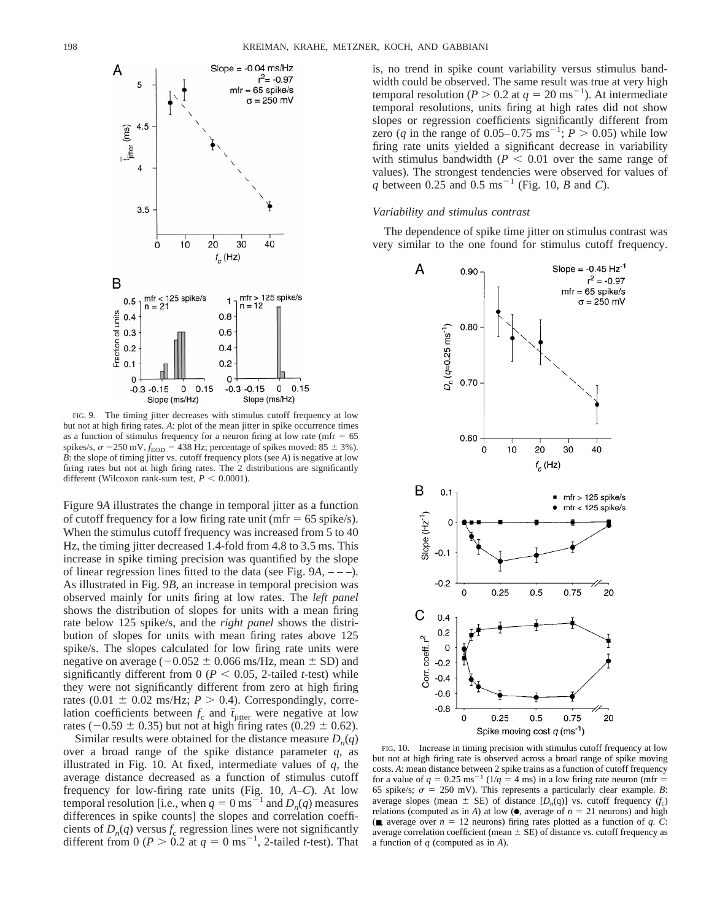

FIG. 9. The timing jitter decreases with stimulus cutoff frequency at low but not at high firing rates. *A*: plot of the mean jitter in spike occurrence times as a function of stimulus frequency for a neuron firing at low rate (mfr  $= 65$ ) spikes/s,  $\sigma$  = 250 mV,  $f_{\text{EOD}}$  = 438 Hz; percentage of spikes moved: 85  $\pm$  3%). *B*: the slope of timing jitter vs. cutoff frequency plots (see *A*) is negative at low firing rates but not at high firing rates. The 2 distributions are significantly different (Wilcoxon rank-sum test,  $P < 0.0001$ ).

Figure 9*A* illustrates the change in temporal jitter as a function of cutoff frequency for a low firing rate unit (mfr  $= 65$  spike/s). When the stimulus cutoff frequency was increased from 5 to 40 Hz, the timing jitter decreased 1.4-fold from 4.8 to 3.5 ms. This increase in spike timing precision was quantified by the slope of linear regression lines fitted to the data (see Fig. 9*A,* – – –). As illustrated in Fig. 9*B,* an increase in temporal precision was observed mainly for units firing at low rates. The *left panel* shows the distribution of slopes for units with a mean firing rate below 125 spike/s, and the *right panel* shows the distribution of slopes for units with mean firing rates above 125 spike/s. The slopes calculated for low firing rate units were negative on average ( $-0.052 \pm 0.066$  ms/Hz, mean  $\pm$  SD) and significantly different from 0 ( $P < 0.05$ , 2-tailed *t*-test) while they were not significantly different from zero at high firing rates (0.01  $\pm$  0.02 ms/Hz; *P* > 0.4). Correspondingly, correlation coefficients between  $f_c$  and  $\bar{t}_{\text{jitter}}$  were negative at low rates ( $-0.59 \pm 0.35$ ) but not at high firing rates (0.29  $\pm$  0.62).

Similar results were obtained for the distance measure  $D_n(q)$ over a broad range of the spike distance parameter *q,* as illustrated in Fig. 10. At fixed, intermediate values of *q,* the average distance decreased as a function of stimulus cutoff frequency for low-firing rate units (Fig. 10, *A–C*). At low temporal resolution [i.e., when  $q = 0$  ms<sup>21</sup> and  $D_n(q)$  measures differences in spike counts] the slopes and correlation coefficients of  $D_n(q)$  versus  $f_c$  regression lines were not significantly different from  $0 (P > 0.2$  at  $q = 0$  ms<sup>-1</sup>, 2-tailed *t*-test). That is, no trend in spike count variability versus stimulus bandwidth could be observed. The same result was true at very high temporal resolution ( $P > 0.2$  at  $q = 20$  ms<sup>-1</sup>). At intermediate temporal resolutions, units firing at high rates did not show slopes or regression coefficients significantly different from zero (*q* in the range of 0.05–0.75 ms<sup>-1</sup>;  $P > 0.05$ ) while low firing rate units yielded a significant decrease in variability with stimulus bandwidth  $(P \leq 0.01)$  over the same range of values). The strongest tendencies were observed for values of *q* between 0.25 and 0.5  $\text{ms}^{-1}$  (Fig. 10, *B* and *C*).

# *Variability and stimulus contrast*

The dependence of spike time jitter on stimulus contrast was very similar to the one found for stimulus cutoff frequency.



FIG. 10. Increase in timing precision with stimulus cutoff frequency at low but not at high firing rate is observed across a broad range of spike moving costs. *A*: mean distance between 2 spike trains as a function of cutoff frequency for a value of  $q = 0.25 \text{ ms}^{-1} (1/q = 4 \text{ ms})$  in a low firing rate neuron (mfr = 65 spike/s;  $\sigma = 250$  mV). This represents a particularly clear example. *B*: average slopes (mean  $\pm$  SE) of distance  $[D_n(q)]$  vs. cutoff frequency  $(f_c)$ relations (computed as in *A*) at low ( $\bullet$ , average of  $n = 21$  neurons) and high ( $\blacksquare$ , average over  $n = 12$  neurons) firing rates plotted as a function of *q. C*: average correlation coefficient (mean  $\pm$  SE) of distance vs. cutoff frequency as a function of *q* (computed as in *A*).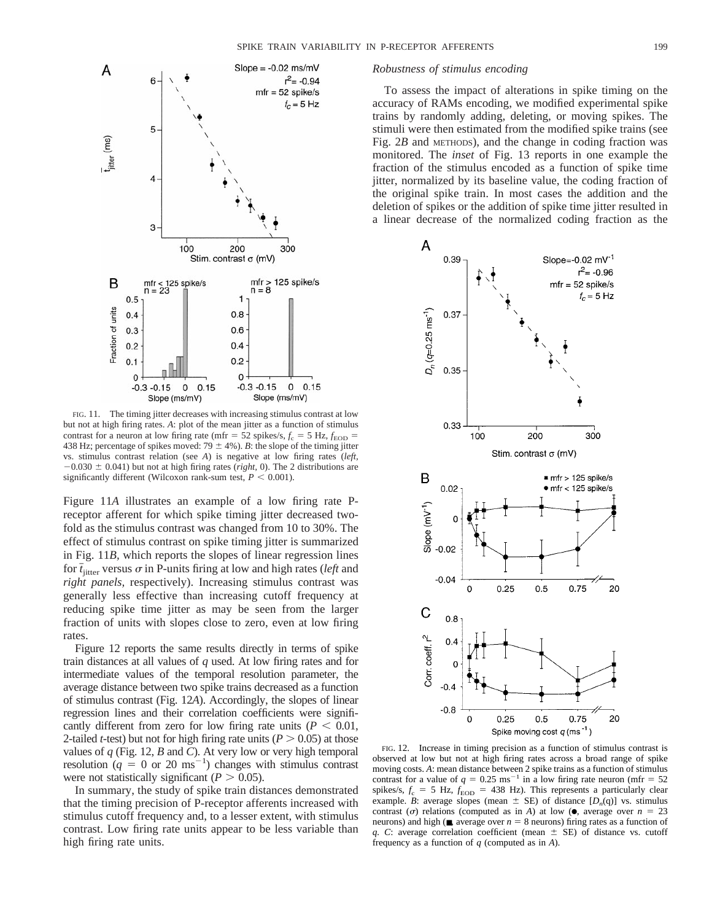

FIG. 11. The timing jitter decreases with increasing stimulus contrast at low but not at high firing rates. *A*: plot of the mean jitter as a function of stimulus contrast for a neuron at low firing rate (mfr =  $52$  spikes/s,  $f_c = 5$  Hz,  $f_{EOD} =$ 438 Hz; percentage of spikes moved:  $79 \pm 4\%$ ). *B*: the slope of the timing jitter vs. stimulus contrast relation (see *A*) is negative at low firing rates (*left,*  $-0.030 \pm 0.041$ ) but not at high firing rates (*right*, 0). The 2 distributions are significantly different (Wilcoxon rank-sum test,  $P < 0.001$ ).

Figure 11*A* illustrates an example of a low firing rate Preceptor afferent for which spike timing jitter decreased twofold as the stimulus contrast was changed from 10 to 30%. The effect of stimulus contrast on spike timing jitter is summarized in Fig. 11*B,* which reports the slopes of linear regression lines for  $t_{\text{jitter}}$  versus  $\sigma$  in P-units firing at low and high rates (*left* and *right panels,* respectively). Increasing stimulus contrast was generally less effective than increasing cutoff frequency at reducing spike time jitter as may be seen from the larger fraction of units with slopes close to zero, even at low firing rates.

Figure 12 reports the same results directly in terms of spike train distances at all values of *q* used. At low firing rates and for intermediate values of the temporal resolution parameter, the average distance between two spike trains decreased as a function of stimulus contrast (Fig. 12*A*). Accordingly, the slopes of linear regression lines and their correlation coefficients were significantly different from zero for low firing rate units ( $P < 0.01$ , 2-tailed *t*-test) but not for high firing rate units ( $P > 0.05$ ) at those values of *q* (Fig. 12, *B* and *C*). At very low or very high temporal resolution  $(q = 0 \text{ or } 20 \text{ ms}^{-1})$  changes with stimulus contrast were not statistically significant ( $P > 0.05$ ).

In summary, the study of spike train distances demonstrated that the timing precision of P-receptor afferents increased with stimulus cutoff frequency and, to a lesser extent, with stimulus contrast. Low firing rate units appear to be less variable than high firing rate units.

#### *Robustness of stimulus encoding*

To assess the impact of alterations in spike timing on the accuracy of RAMs encoding, we modified experimental spike trains by randomly adding, deleting, or moving spikes. The stimuli were then estimated from the modified spike trains (see Fig. 2*B* and METHODS), and the change in coding fraction was monitored. The *inset* of Fig. 13 reports in one example the fraction of the stimulus encoded as a function of spike time jitter, normalized by its baseline value, the coding fraction of the original spike train. In most cases the addition and the deletion of spikes or the addition of spike time jitter resulted in a linear decrease of the normalized coding fraction as the



FIG. 12. Increase in timing precision as a function of stimulus contrast is observed at low but not at high firing rates across a broad range of spike moving costs. *A*: mean distance between 2 spike trains as a function of stimulus contrast for a value of  $q = 0.25 \text{ ms}^{-1}$  in a low firing rate neuron (mfr = 52) spikes/s,  $f_c = 5$  Hz,  $f_{\rm EOD} = 438$  Hz). This represents a particularly clear example. *B*: average slopes (mean  $\pm$  SE) of distance  $[D_n(q)]$  vs. stimulus contrast ( $\sigma$ ) relations (computed as in *A*) at low ( $\bullet$ , average over  $n = 23$ neurons) and high ( $\blacksquare$ , average over  $n = 8$  neurons) firing rates as a function of *q. C*: average correlation coefficient (mean  $\pm$  SE) of distance vs. cutoff frequency as a function of *q* (computed as in *A*).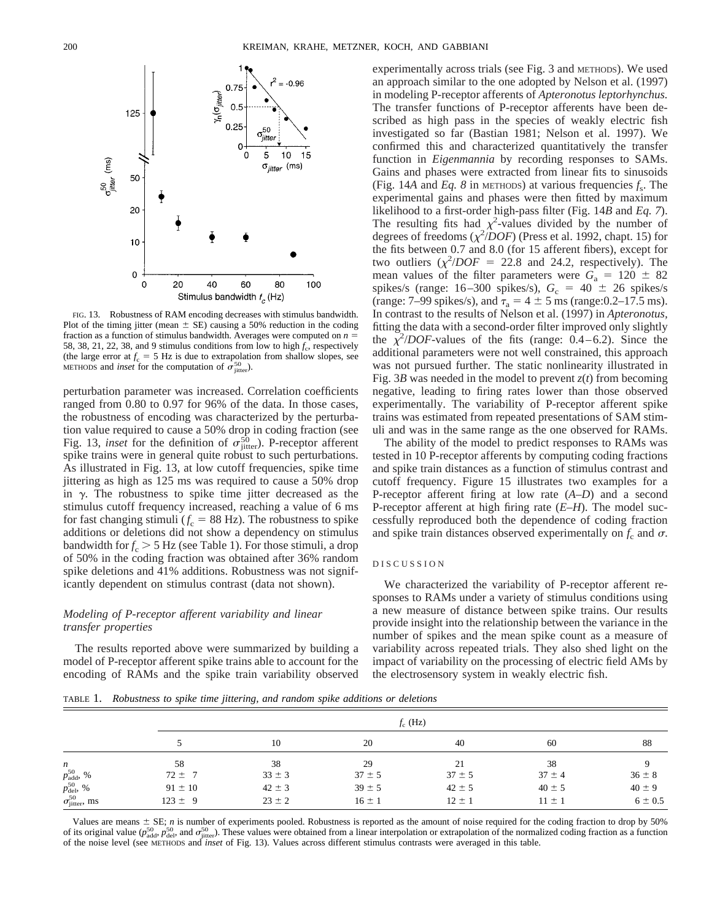

FIG. 13. Robustness of RAM encoding decreases with stimulus bandwidth. Plot of the timing jitter (mean  $\pm$  SE) causing a 50% reduction in the coding fraction as a function of stimulus bandwidth. Averages were computed on  $n =$ 58, 38, 21, 22, 38, and 9 stimulus conditions from low to high  $f_c$ , respectively (the large error at  $f_c = 5$  Hz is due to extrapolation from shallow slopes, see METHODS and *inset* for the computation of  $\sigma_{\text{jitter}}^{50}$ .

perturbation parameter was increased. Correlation coefficients ranged from 0.80 to 0.97 for 96% of the data. In those cases, the robustness of encoding was characterized by the perturbation value required to cause a 50% drop in coding fraction (see Fig. 13, *inset* for the definition of  $\sigma_{\text{jitter}}^{50}$ ). P-receptor afferent spike trains were in general quite robust to such perturbations. As illustrated in Fig. 13, at low cutoff frequencies, spike time jittering as high as 125 ms was required to cause a 50% drop in  $\gamma$ . The robustness to spike time jitter decreased as the stimulus cutoff frequency increased, reaching a value of 6 ms for fast changing stimuli ( $f_c = 88$  Hz). The robustness to spike additions or deletions did not show a dependency on stimulus bandwidth for  $f_c > 5$  Hz (see Table 1). For those stimuli, a drop of 50% in the coding fraction was obtained after 36% random spike deletions and 41% additions. Robustness was not significantly dependent on stimulus contrast (data not shown).

# *Modeling of P-receptor afferent variability and linear transfer properties*

The results reported above were summarized by building a model of P-receptor afferent spike trains able to account for the encoding of RAMs and the spike train variability observed experimentally across trials (see Fig. 3 and METHODS). We used an approach similar to the one adopted by Nelson et al. (1997) in modeling P-receptor afferents of *Apteronotus leptorhynchus.* The transfer functions of P-receptor afferents have been described as high pass in the species of weakly electric fish investigated so far (Bastian 1981; Nelson et al. 1997). We confirmed this and characterized quantitatively the transfer function in *Eigenmannia* by recording responses to SAMs. Gains and phases were extracted from linear fits to sinusoids (Fig. 14A and *Eq. 8* in METHODS) at various frequencies  $f_s$ . The experimental gains and phases were then fitted by maximum likelihood to a first-order high-pass filter (Fig. 14*B* and *Eq. 7*). The resulting fits had  $\chi^2$ -values divided by the number of degrees of freedoms  $(\chi^2/DOF)$  (Press et al. 1992, chapt. 15) for the fits between 0.7 and 8.0 (for 15 afferent fibers), except for two outliers  $(\chi^2/DOF = 22.8$  and 24.2, respectively). The mean values of the filter parameters were  $G_a = 120 \pm 82$ spikes/s (range: 16–300 spikes/s),  $G_c = 40 \pm 26$  spikes/s (range: 7–99 spikes/s), and  $\tau_a = 4 \pm 5$  ms (range: 0.2–17.5 ms). In contrast to the results of Nelson et al. (1997) in *Apteronotus,* fitting the data with a second-order filter improved only slightly the  $\chi^2/DOF$ -values of the fits (range:  $0.4-6.2$ ). Since the additional parameters were not well constrained, this approach was not pursued further. The static nonlinearity illustrated in Fig. 3*B* was needed in the model to prevent *z*(*t*) from becoming negative, leading to firing rates lower than those observed experimentally. The variability of P-receptor afferent spike trains was estimated from repeated presentations of SAM stimuli and was in the same range as the one observed for RAMs.

The ability of the model to predict responses to RAMs was tested in 10 P-receptor afferents by computing coding fractions and spike train distances as a function of stimulus contrast and cutoff frequency. Figure 15 illustrates two examples for a P-receptor afferent firing at low rate (*A–D*) and a second P-receptor afferent at high firing rate (*E–H*). The model successfully reproduced both the dependence of coding fraction and spike train distances observed experimentally on  $f_c$  and  $\sigma$ .

## DISCUSSION

We characterized the variability of P-receptor afferent responses to RAMs under a variety of stimulus conditions using a new measure of distance between spike trains. Our results provide insight into the relationship between the variance in the number of spikes and the mean spike count as a measure of variability across repeated trials. They also shed light on the impact of variability on the processing of electric field AMs by the electrosensory system in weakly electric fish.

TABLE 1. *Robustness to spike time jittering, and random spike additions or deletions*

|                                               | $f_c$ (Hz)  |            |            |            |            |             |
|-----------------------------------------------|-------------|------------|------------|------------|------------|-------------|
|                                               |             | 10         | 20         | 40         | 60         | 88          |
| $\boldsymbol{n}$                              | 58          | 38         | 29         | 21         | 38         | $36 \pm 8$  |
| $p_\mathrm{add}^{\mathrm{50}},\, \mathrm{\%}$ | $72 \pm 7$  | $33 \pm 3$ | $37 \pm 5$ | $37 \pm 5$ | $37 \pm 4$ |             |
| $p_{\rm del}^{50}$ , %                        | $91 \pm 10$ | $42 \pm 3$ | $39 \pm 5$ | $42 \pm 5$ | $40 \pm 5$ | $40 \pm 9$  |
| $\sigma_{\text{jitter}}^{50}$ , ms            | $123 \pm 9$ | $23 \pm 2$ | $16 \pm 1$ | $12 \pm 1$ | $11 \pm 1$ | $6 \pm 0.5$ |

Values are means  $\pm$  SE; *n* is number of experiments pooled. Robustness is reported as the amount of noise required for the coding fraction to drop by 50% of its original value ( $p_{\text{add}}^{50}$ ,  $p_{\text{del}}^{50}$ , and  $\sigma_{\text{jitter}}^{50}$ ). These values were obtained from a linear interpolation or extrapolation of the normalized coding fraction as a function of the noise level (see METHODS and *inset* of Fig. 13). Values across different stimulus contrasts were averaged in this table.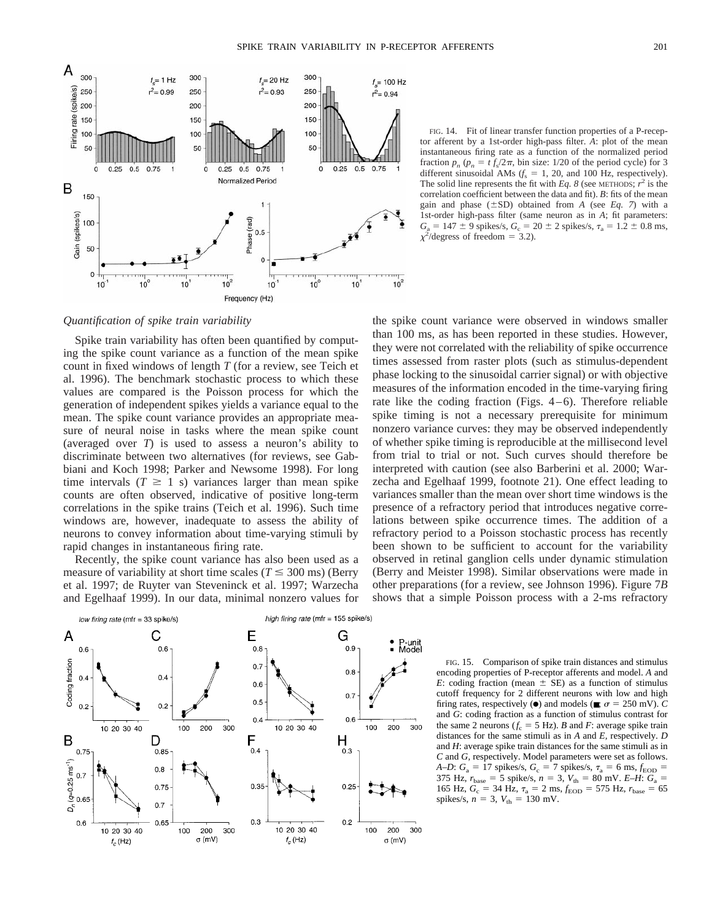

FIG. 14. Fit of linear transfer function properties of a P-receptor afferent by a 1st-order high-pass filter. *A*: plot of the mean instantaneous firing rate as a function of the normalized period fraction  $p_n$  ( $p_n = t f_s/2\pi$ , bin size: 1/20 of the period cycle) for 3 different sinusoidal AMs  $(f_s = 1, 20, \text{ and } 100 \text{ Hz}$ , respectively). The solid line represents the fit with *Eq. 8* (see METHODS;  $r^2$  is the correlation coefficient between the data and fit). *B*: fits of the mean gain and phase  $(\pm SD)$  obtained from *A* (see *Eq. 7*) with a 1st-order high-pass filter (same neuron as in *A*; fit parameters:  $G_a = 147 \pm 9$  spikes/s,  $G_c = 20 \pm 2$  spikes/s,  $\tau_a = 1.2 \pm 0.8$  ms,  $\chi^2$ /degress of freedom = 3.2).

*Quantification of spike train variability*

Spike train variability has often been quantified by computing the spike count variance as a function of the mean spike count in fixed windows of length *T* (for a review, see Teich et al. 1996). The benchmark stochastic process to which these values are compared is the Poisson process for which the generation of independent spikes yields a variance equal to the mean. The spike count variance provides an appropriate measure of neural noise in tasks where the mean spike count (averaged over *T*) is used to assess a neuron's ability to discriminate between two alternatives (for reviews, see Gabbiani and Koch 1998; Parker and Newsome 1998). For long time intervals  $(T \geq 1$  s) variances larger than mean spike counts are often observed, indicative of positive long-term correlations in the spike trains (Teich et al. 1996). Such time windows are, however, inadequate to assess the ability of neurons to convey information about time-varying stimuli by rapid changes in instantaneous firing rate.

Recently, the spike count variance has also been used as a measure of variability at short time scales ( $T \leq 300$  ms) (Berry et al. 1997; de Ruyter van Steveninck et al. 1997; Warzecha and Egelhaaf 1999). In our data, minimal nonzero values for

high firing rate (mfr = 155 spike/s) low firing rate (mfr = 33 spike/s) A C E G P-unit<br>Model  $0.6$  $0.6$  $0.8$  $0.9$ Coding fraction  $0.7$  $0.8$  $0.4$  $0.4$  $_{0.6}$  $0.7$  $0.5$  $0.2$  $0.2$  $0.6$  $0.4$ 10 20 30 40 200 300 10 20 30 40 100 200 300 100 B D F H  $0.4$ 0.75 0.85  $0.3$  $(\sigma=0.25 \text{ ms}^{-1})$ <br>  $\sigma = 0.7$  $0.8$  $0.35$  $0.25$ 0.75  $0.7$ c,  $0.3$  $0.2\,$  $0.6$ 0.65 10 20 30 40 300 100 200 300 10 20 30 40 100 200  $\sigma$  (mV)  $t_c\,(\mbox{Hz})$  $f_c$  (Hz) σ (mV)

the spike count variance were observed in windows smaller than 100 ms, as has been reported in these studies. However, they were not correlated with the reliability of spike occurrence times assessed from raster plots (such as stimulus-dependent phase locking to the sinusoidal carrier signal) or with objective measures of the information encoded in the time-varying firing rate like the coding fraction (Figs. 4–6). Therefore reliable spike timing is not a necessary prerequisite for minimum nonzero variance curves: they may be observed independently of whether spike timing is reproducible at the millisecond level from trial to trial or not. Such curves should therefore be interpreted with caution (see also Barberini et al. 2000; Warzecha and Egelhaaf 1999, footnote 21). One effect leading to variances smaller than the mean over short time windows is the presence of a refractory period that introduces negative correlations between spike occurrence times. The addition of a refractory period to a Poisson stochastic process has recently been shown to be sufficient to account for the variability observed in retinal ganglion cells under dynamic stimulation (Berry and Meister 1998). Similar observations were made in other preparations (for a review, see Johnson 1996). Figure 7*B* shows that a simple Poisson process with a 2-ms refractory

> FIG. 15. Comparison of spike train distances and stimulus encoding properties of P-receptor afferents and model. *A* and *E*: coding fraction (mean  $\pm$  SE) as a function of stimulus cutoff frequency for 2 different neurons with low and high firing rates, respectively ( $\bullet$ ) and models ( $\blacksquare$ ;  $\sigma = 250$  mV). *C* and *G*: coding fraction as a function of stimulus contrast for the same 2 neurons  $(f_c = 5 \text{ Hz})$ . *B* and *F*: average spike train distances for the same stimuli as in *A* and *E,* respectively. *D* and *H*: average spike train distances for the same stimuli as in *C* and *G,* respectively. Model parameters were set as follows. *A–D*:  $G_a = 17$  spikes/s,  $G_c = 7$  spikes/s,  $\tau_a = 6$  ms,  $f_{EOD} =$ 375 Hz,  $r_{base} = 5$  spike/s,  $n = 3$ ,  $V_{th} = 80$  mV. *E–H*:  $G_a =$ 165 Hz,  $G_c = 34$  Hz,  $\tau_a = 2$  ms,  $f_{\text{EOD}} = 575$  Hz,  $r_{\text{base}} = 65$ spikes/s,  $n = 3$ ,  $V_{\text{th}} = 130$  mV.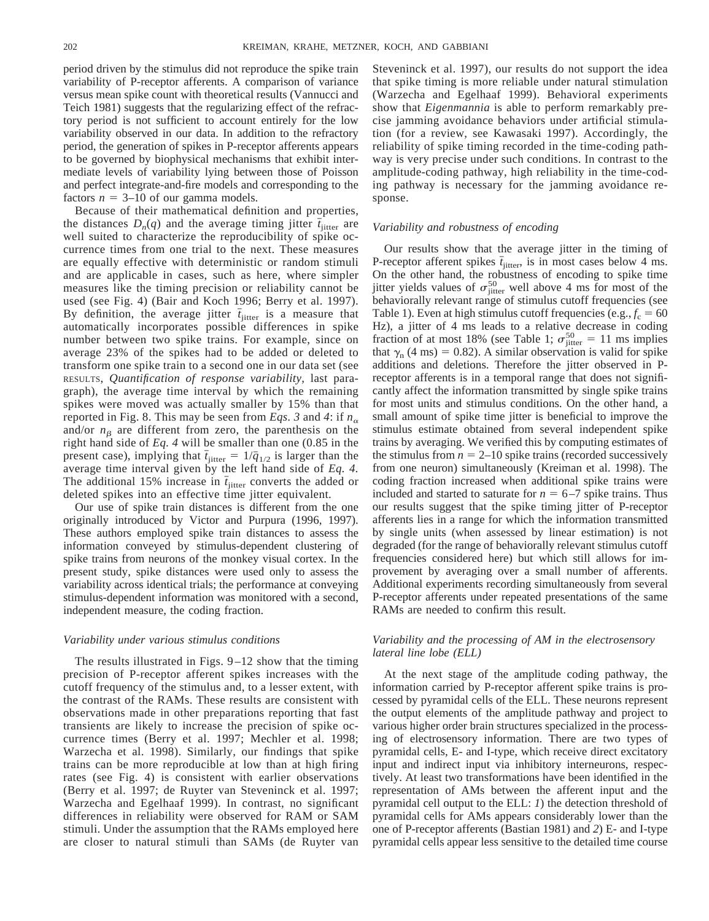period driven by the stimulus did not reproduce the spike train variability of P-receptor afferents. A comparison of variance versus mean spike count with theoretical results (Vannucci and Teich 1981) suggests that the regularizing effect of the refractory period is not sufficient to account entirely for the low variability observed in our data. In addition to the refractory period, the generation of spikes in P-receptor afferents appears to be governed by biophysical mechanisms that exhibit intermediate levels of variability lying between those of Poisson and perfect integrate-and-fire models and corresponding to the factors  $n = 3{\text -}10$  of our gamma models.

Because of their mathematical definition and properties, the distances  $D_n(q)$  and the average timing jitter  $\bar{t}_{\text{inter}}$  are well suited to characterize the reproducibility of spike occurrence times from one trial to the next. These measures are equally effective with deterministic or random stimuli and are applicable in cases, such as here, where simpler measures like the timing precision or reliability cannot be used (see Fig. 4) (Bair and Koch 1996; Berry et al. 1997). By definition, the average jitter  $\bar{t}_{\text{iitter}}$  is a measure that automatically incorporates possible differences in spike number between two spike trains. For example, since on average 23% of the spikes had to be added or deleted to transform one spike train to a second one in our data set (see RESULTS, *Quantification of response variability,* last paragraph), the average time interval by which the remaining spikes were moved was actually smaller by 15% than that reported in Fig. 8. This may be seen from *Eqs.* 3 and 4: if  $n_{\alpha}$ and/or  $n<sub>\beta</sub>$  are different from zero, the parenthesis on the right hand side of *Eq. 4* will be smaller than one (0.85 in the present case), implying that  $\bar{t}_{jitter} = 1/\bar{q}_{1/2}$  is larger than the average time interval given by the left hand side of *Eq. 4.* The additional 15% increase in  $\bar{t}_{\text{iitter}}$  converts the added or deleted spikes into an effective time jitter equivalent.

Our use of spike train distances is different from the one originally introduced by Victor and Purpura (1996, 1997). These authors employed spike train distances to assess the information conveyed by stimulus-dependent clustering of spike trains from neurons of the monkey visual cortex. In the present study, spike distances were used only to assess the variability across identical trials; the performance at conveying stimulus-dependent information was monitored with a second, independent measure, the coding fraction.

#### *Variability under various stimulus conditions*

The results illustrated in Figs.  $9-12$  show that the timing precision of P-receptor afferent spikes increases with the cutoff frequency of the stimulus and, to a lesser extent, with the contrast of the RAMs. These results are consistent with observations made in other preparations reporting that fast transients are likely to increase the precision of spike occurrence times (Berry et al. 1997; Mechler et al. 1998; Warzecha et al. 1998). Similarly, our findings that spike trains can be more reproducible at low than at high firing rates (see Fig. 4) is consistent with earlier observations (Berry et al. 1997; de Ruyter van Steveninck et al. 1997; Warzecha and Egelhaaf 1999). In contrast, no significant differences in reliability were observed for RAM or SAM stimuli. Under the assumption that the RAMs employed here are closer to natural stimuli than SAMs (de Ruyter van

Steveninck et al. 1997), our results do not support the idea that spike timing is more reliable under natural stimulation (Warzecha and Egelhaaf 1999). Behavioral experiments show that *Eigenmannia* is able to perform remarkably precise jamming avoidance behaviors under artificial stimulation (for a review, see Kawasaki 1997). Accordingly, the reliability of spike timing recorded in the time-coding pathway is very precise under such conditions. In contrast to the amplitude-coding pathway, high reliability in the time-coding pathway is necessary for the jamming avoidance response.

## *Variability and robustness of encoding*

Our results show that the average jitter in the timing of P-receptor afferent spikes  $\bar{t}_{\text{inter}}$ , is in most cases below 4 ms. On the other hand, the robustness of encoding to spike time jitter yields values of  $\sigma_{\text{jitter}}^{50}$  well above 4 ms for most of the behaviorally relevant range of stimulus cutoff frequencies (see Table 1). Even at high stimulus cutoff frequencies (e.g.,  $f_c = 60$ Hz), a jitter of 4 ms leads to a relative decrease in coding fraction of at most 18% (see Table 1;  $\sigma_{\text{jitter}}^{50} = 11 \text{ ms implies}$ that  $\gamma_n$  (4 ms) = 0.82). A similar observation is valid for spike additions and deletions. Therefore the jitter observed in Preceptor afferents is in a temporal range that does not significantly affect the information transmitted by single spike trains for most units and stimulus conditions. On the other hand, a small amount of spike time jitter is beneficial to improve the stimulus estimate obtained from several independent spike trains by averaging. We verified this by computing estimates of the stimulus from  $n = 2{\text -}10$  spike trains (recorded successively from one neuron) simultaneously (Kreiman et al. 1998). The coding fraction increased when additional spike trains were included and started to saturate for  $n = 6-7$  spike trains. Thus our results suggest that the spike timing jitter of P-receptor afferents lies in a range for which the information transmitted by single units (when assessed by linear estimation) is not degraded (for the range of behaviorally relevant stimulus cutoff frequencies considered here) but which still allows for improvement by averaging over a small number of afferents. Additional experiments recording simultaneously from several P-receptor afferents under repeated presentations of the same RAMs are needed to confirm this result.

## *Variability and the processing of AM in the electrosensory lateral line lobe (ELL)*

At the next stage of the amplitude coding pathway, the information carried by P-receptor afferent spike trains is processed by pyramidal cells of the ELL. These neurons represent the output elements of the amplitude pathway and project to various higher order brain structures specialized in the processing of electrosensory information. There are two types of pyramidal cells, E- and I-type, which receive direct excitatory input and indirect input via inhibitory interneurons, respectively. At least two transformations have been identified in the representation of AMs between the afferent input and the pyramidal cell output to the ELL: *1*) the detection threshold of pyramidal cells for AMs appears considerably lower than the one of P-receptor afferents (Bastian 1981) and *2*) E- and I-type pyramidal cells appear less sensitive to the detailed time course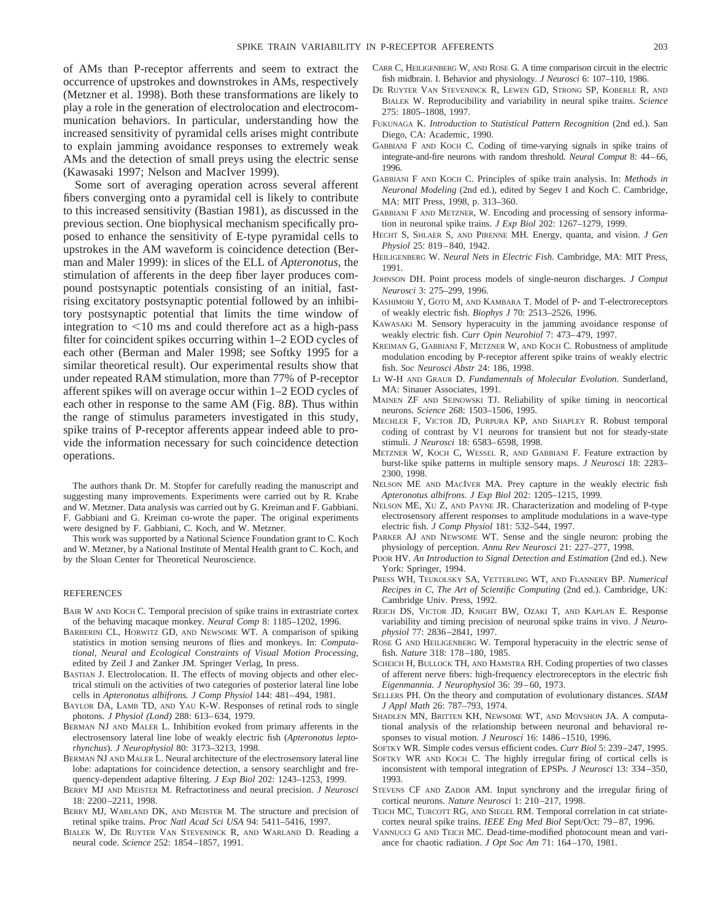of AMs than P-receptor afferrents and seem to extract the occurrence of upstrokes and downstrokes in AMs, respectively (Metzner et al. 1998). Both these transformations are likely to play a role in the generation of electrolocation and electrocommunication behaviors. In particular, understanding how the increased sensitivity of pyramidal cells arises might contribute to explain jamming avoidance responses to extremely weak AMs and the detection of small preys using the electric sense (Kawasaki 1997; Nelson and MacIver 1999).

Some sort of averaging operation across several afferent fibers converging onto a pyramidal cell is likely to contribute to this increased sensitivity (Bastian 1981), as discussed in the previous section. One biophysical mechanism specifically proposed to enhance the sensitivity of E-type pyramidal cells to upstrokes in the AM waveform is coincidence detection (Berman and Maler 1999): in slices of the ELL of *Apteronotus,* the stimulation of afferents in the deep fiber layer produces compound postsynaptic potentials consisting of an initial, fastrising excitatory postsynaptic potential followed by an inhibitory postsynaptic potential that limits the time window of integration to  $<$ 10 ms and could therefore act as a high-pass filter for coincident spikes occurring within 1–2 EOD cycles of each other (Berman and Maler 1998; see Softky 1995 for a similar theoretical result). Our experimental results show that under repeated RAM stimulation, more than 77% of P-receptor afferent spikes will on average occur within 1–2 EOD cycles of each other in response to the same AM (Fig. 8*B*). Thus within the range of stimulus parameters investigated in this study, spike trains of P-receptor afferents appear indeed able to provide the information necessary for such coincidence detection operations.

The authors thank Dr. M. Stopfer for carefully reading the manuscript and suggesting many improvements. Experiments were carried out by R. Krahe and W. Metzner. Data analysis was carried out by G. Kreiman and F. Gabbiani. F. Gabbiani and G. Kreiman co-wrote the paper. The original experiments were designed by F. Gabbiani, C. Koch, and W. Metzner.

This work was supported by a National Science Foundation grant to C. Koch and W. Metzner, by a National Institute of Mental Health grant to C. Koch, and by the Sloan Center for Theoretical Neuroscience.

#### REFERENCES

- BAIR W AND KOCH C. Temporal precision of spike trains in extrastriate cortex of the behaving macaque monkey. *Neural Comp* 8: 1185–1202, 1996.
- BARBERINI CL, HORWITZ GD, AND NEWSOME WT. A comparison of spiking statistics in motion sensing neurons of flies and monkeys. In: *Computational, Neural and Ecological Constraints of Visual Motion Processing,* edited by Zeil J and Zanker JM. Springer Verlag, In press.
- BASTIAN J. Electrolocation. II. The effects of moving objects and other electrical stimuli on the activities of two categories of posterior lateral line lobe cells in *Apteronotus albifrons. J Comp Physiol* 144: 481–494, 1981.
- BAYLOR DA, LAMB TD, AND YAU K-W. Responses of retinal rods to single photons. *J Physiol (Lond)* 288: 613–634, 1979.
- BERMAN NJ AND MALER L. Inhibition evoked from primary afferents in the electrosensory lateral line lobe of weakly electric fish (*Apteronotus leptorhynchus*). *J Neurophysiol* 80: 3173–3213, 1998.
- BERMAN NJ AND MALER L. Neural architecture of the electrosensory lateral line lobe: adaptations for coincidence detection, a sensory searchlight and frequency-dependent adaptive filtering. *J Exp Biol* 202: 1243–1253, 1999.
- BERRY MJ AND MEISTER M. Refractoriness and neural precision. *J Neurosci* 18: 2200–2211, 1998.
- BERRY MJ, WARLAND DK, AND MEISTER M. The structure and precision of retinal spike trains. *Proc Natl Acad Sci USA* 94: 5411–5416, 1997.
- BIALEK W, DE RUYTER VAN STEVENINCK R, AND WARLAND D. Reading a neural code. *Science* 252: 1854–1857, 1991.
- CARR C, HEILIGENBERG W, AND ROSE G. A time comparison circuit in the electric fish midbrain. I. Behavior and physiology. *J Neurosci* 6: 107–110, 1986.
- DE RUYTER VAN STEVENINCK R, LEWEN GD, STRONG SP, KOBERLE R, AND BIALEK W. Reproducibility and variability in neural spike trains. *Science* 275: 1805–1808, 1997.
- FUKUNAGA K. *Introduction to Statistical Pattern Recognition* (2nd ed.). San Diego, CA: Academic, 1990.
- GABBIANI F AND KOCH C. Coding of time-varying signals in spike trains of integrate-and-fire neurons with random threshold. *Neural Comput* 8: 44–66, 1996.
- GABBIANI F AND KOCH C. Principles of spike train analysis. In: *Methods in Neuronal Modeling* (2nd ed.), edited by Segev I and Koch C. Cambridge, MA: MIT Press, 1998, p. 313–360.
- GABBIANI F AND METZNER, W. Encoding and processing of sensory information in neuronal spike trains. *J Exp Biol* 202: 1267–1279, 1999.
- HECHT S, SHLAER S, AND PIRENNE MH. Energy, quanta, and vision. *J Gen Physiol* 25: 819–840, 1942.
- HEILIGENBERG W. *Neural Nets in Electric Fish.* Cambridge, MA: MIT Press, 1991.
- JOHNSON DH. Point process models of single-neuron discharges. *J Comput Neurosci* 3: 275–299, 1996.
- KASHIMORI Y, GOTO M, AND KAMBARA T. Model of P- and T-electroreceptors of weakly electric fish. *Biophys J* 70: 2513–2526, 1996.
- KAWASAKI M. Sensory hyperacuity in the jamming avoidance response of weakly electric fish. *Curr Opin Neurobiol* 7: 473–479, 1997.
- KREIMAN G, GABBIANI F, METZNER W, AND KOCH C. Robustness of amplitude modulation encoding by P-receptor afferent spike trains of weakly electric fish. *Soc Neurosci Abstr* 24: 186, 1998.
- LI W-H AND GRAUR D. *Fundamentals of Molecular Evolution.* Sunderland, MA: Sinauer Associates, 1991.
- MAINEN ZF AND SEJNOWSKI TJ. Reliability of spike timing in neocortical neurons. *Science* 268: 1503–1506, 1995.
- MECHLER F, VICTOR JD, PURPURA KP, AND SHAPLEY R. Robust temporal coding of contrast by V1 neurons for transient but not for steady-state stimuli. *J Neurosci* 18: 6583–6598, 1998.
- METZNER W, KOCH C, WESSEL R, AND GABBIANI F. Feature extraction by burst-like spike patterns in multiple sensory maps. *J Neurosci* 18: 2283– 2300, 1998.
- NELSON ME AND MACIVER MA. Prey capture in the weakly electric fish *Apteronotus albifrons. J Exp Biol* 202: 1205–1215, 1999.
- NELSON ME, XU Z, AND PAYNE JR. Characterization and modeling of P-type electrosensory afferent responses to amplitude modulations in a wave-type electric fish. *J Comp Physiol* 181: 532–544, 1997.
- PARKER AJ AND NEWSOME WT. Sense and the single neuron: probing the physiology of perception. *Annu Rev Neurosci* 21: 227–277, 1998.
- POOR HV. *An Introduction to Signal Detection and Estimation* (2nd ed.). New York: Springer, 1994.
- PRESS WH, TEUKOLSKY SA, VETTERLING WT, AND FLANNERY BP. *Numerical Recipes in C, The Art of Scientific Computing* (2nd ed.). Cambridge, UK: Cambridge Univ. Press, 1992.
- REICH DS, VICTOR JD, KNIGHT BW, OZAKI T, AND KAPLAN E. Response variability and timing precision of neuronal spike trains in vivo. *J Neurophysiol* 77: 2836–2841, 1997.
- ROSE G AND HEILIGENBERG W. Temporal hyperacuity in the electric sense of fish. *Nature* 318: 178–180, 1985.
- SCHEICH H, BULLOCK TH, AND HAMSTRA RH. Coding properties of two classes of afferent nerve fibers: high-frequency electroreceptors in the electric fish *Eigenmannia. J Neurophysiol* 36: 39–60, 1973.
- SELLERS PH. On the theory and computation of evolutionary distances. *SIAM J Appl Math* 26: 787–793, 1974.
- SHADLEN MN, BRITTEN KH, NEWSOME WT, AND MOVSHON JA. A computational analysis of the relationship between neuronal and behavioral responses to visual motion. *J Neurosci* 16: 1486–1510, 1996.

SOFTKY WR. Simple codes versus efficient codes. *Curr Biol* 5: 239–247, 1995.

- SOFTKY WR AND KOCH C. The highly irregular firing of cortical cells is inconsistent with temporal integration of EPSPs. *J Neurosci* 13: 334–350, 1993.
- STEVENS CF AND ZADOR AM. Input synchrony and the irregular firing of cortical neurons. *Nature Neurosci* 1: 210–217, 1998.
- TEICH MC, TURCOTT RG, AND SIEGEL RM. Temporal correlation in cat striatecortex neural spike trains. *IEEE Eng Med Biol* Sept/Oct: 79–87, 1996.
- VANNUCCI G AND TEICH MC. Dead-time-modified photocount mean and variance for chaotic radiation. *J Opt Soc Am* 71: 164–170, 1981.